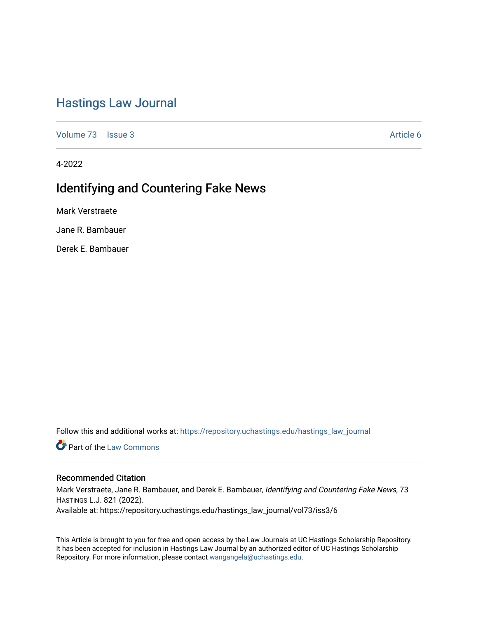## [Hastings Law Journal](https://repository.uchastings.edu/hastings_law_journal)

[Volume 73](https://repository.uchastings.edu/hastings_law_journal/vol73) | [Issue 3](https://repository.uchastings.edu/hastings_law_journal/vol73/iss3) Article 6

4-2022

# Identifying and Countering Fake News

Mark Verstraete

Jane R. Bambauer

Derek E. Bambauer

Follow this and additional works at: [https://repository.uchastings.edu/hastings\\_law\\_journal](https://repository.uchastings.edu/hastings_law_journal?utm_source=repository.uchastings.edu%2Fhastings_law_journal%2Fvol73%2Fiss3%2F6&utm_medium=PDF&utm_campaign=PDFCoverPages) 

**C** Part of the [Law Commons](http://network.bepress.com/hgg/discipline/578?utm_source=repository.uchastings.edu%2Fhastings_law_journal%2Fvol73%2Fiss3%2F6&utm_medium=PDF&utm_campaign=PDFCoverPages)

## Recommended Citation

Mark Verstraete, Jane R. Bambauer, and Derek E. Bambauer, Identifying and Countering Fake News, 73 HASTINGS L.J. 821 (2022). Available at: https://repository.uchastings.edu/hastings\_law\_journal/vol73/iss3/6

This Article is brought to you for free and open access by the Law Journals at UC Hastings Scholarship Repository. It has been accepted for inclusion in Hastings Law Journal by an authorized editor of UC Hastings Scholarship Repository. For more information, please contact [wangangela@uchastings.edu](mailto:wangangela@uchastings.edu).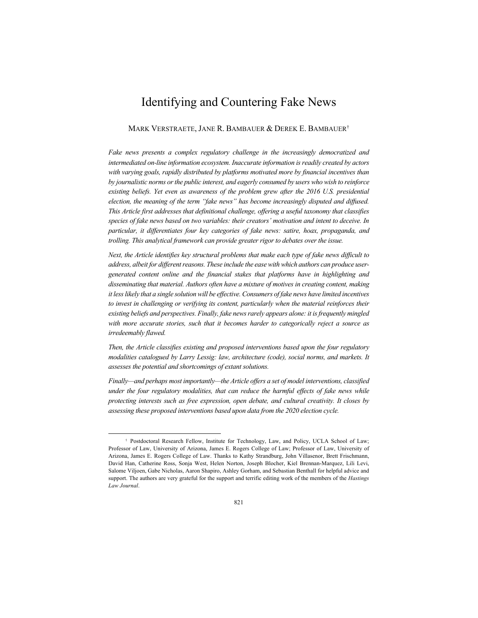## Identifying and Countering Fake News

## MARK VERSTRAETE, JANE R. BAMBAUER & DEREK E. BAMBAUER†

*Fake news presents a complex regulatory challenge in the increasingly democratized and intermediated on-line information ecosystem. Inaccurate information is readily created by actors with varying goals, rapidly distributed by platforms motivated more by financial incentives than by journalistic norms or the public interest, and eagerly consumed by users who wish to reinforce existing beliefs. Yet even as awareness of the problem grew after the 2016 U.S. presidential election, the meaning of the term "fake news" has become increasingly disputed and diffused. This Article first addresses that definitional challenge, offering a useful taxonomy that classifies species of fake news based on two variables: their creators' motivation and intent to deceive. In particular, it differentiates four key categories of fake news: satire, hoax, propaganda, and trolling. This analytical framework can provide greater rigor to debates over the issue.*

*Next, the Article identifies key structural problems that make each type of fake news difficult to address, albeit for different reasons. These include the ease with which authors can produce usergenerated content online and the financial stakes that platforms have in highlighting and disseminating that material. Authors often have a mixture of motives in creating content, making it less likely that a single solution will be effective. Consumers of fake news have limited incentives*  to invest in challenging or verifying its content, particularly when the material reinforces their *existing beliefs and perspectives. Finally, fake news rarely appears alone: it is frequently mingled with more accurate stories, such that it becomes harder to categorically reject a source as irredeemably flawed.*

*Then, the Article classifies existing and proposed interventions based upon the four regulatory modalities catalogued by Larry Lessig: law, architecture (code), social norms, and markets. It assesses the potential and shortcomings of extant solutions.*

*Finally—and perhaps most importantly—the Article offers a set of model interventions, classified*  under the four regulatory modalities, that can reduce the harmful effects of fake news while *protecting interests such as free expression, open debate, and cultural creativity. It closes by assessing these proposed interventions based upon data from the 2020 election cycle.*

<sup>†</sup> Postdoctoral Research Fellow, Institute for Technology, Law, and Policy, UCLA School of Law; Professor of Law, University of Arizona, James E. Rogers College of Law; Professor of Law, University of Arizona, James E. Rogers College of Law. Thanks to Kathy Strandburg, John Villasenor, Brett Frischmann, David Han, Catherine Ross, Sonja West, Helen Norton, Joseph Blocher, Kiel Brennan-Marquez, Lili Levi, Salome Viljoen, Gabe Nicholas, Aaron Shapiro, Ashley Gorham, and Sebastian Benthall for helpful advice and support. The authors are very grateful for the support and terrific editing work of the members of the *Hastings Law Journal*.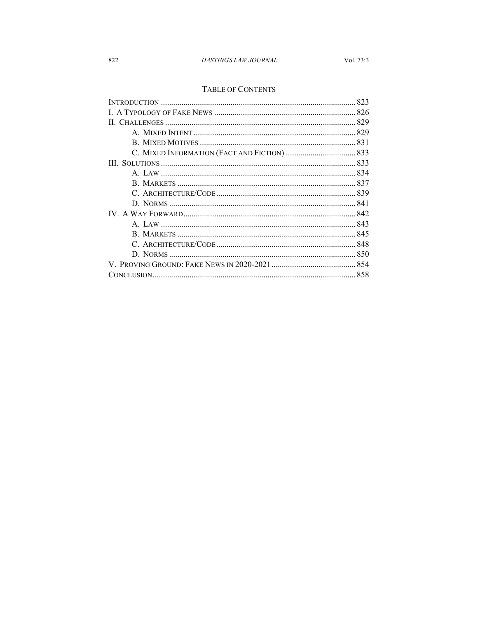## HASTINGS LAW JOURNAL

## TABLE OF CONTENTS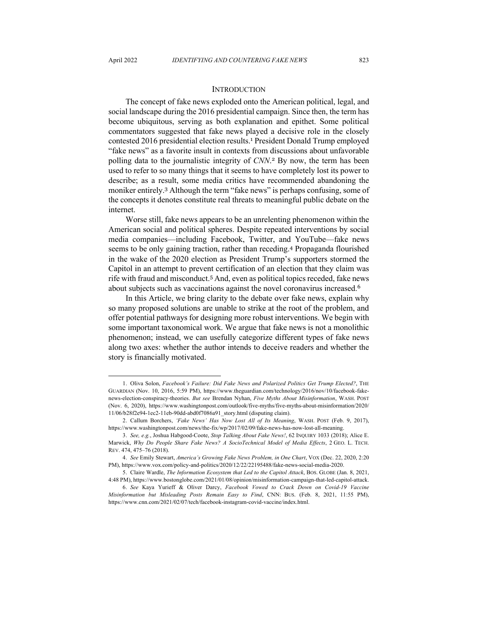### **INTRODUCTION**

The concept of fake news exploded onto the American political, legal, and social landscape during the 2016 presidential campaign. Since then, the term has become ubiquitous, serving as both explanation and epithet. Some political commentators suggested that fake news played a decisive role in the closely contested 2016 presidential election results.<sup>1</sup> President Donald Trump employed "fake news" as a favorite insult in contexts from discussions about unfavorable polling data to the journalistic integrity of *CNN*. <sup>2</sup> By now, the term has been used to refer to so many things that it seems to have completely lost its power to describe; as a result, some media critics have recommended abandoning the moniker entirely.<sup>3</sup> Although the term "fake news" is perhaps confusing, some of the concepts it denotes constitute real threats to meaningful public debate on the internet.

Worse still, fake news appears to be an unrelenting phenomenon within the American social and political spheres. Despite repeated interventions by social media companies—including Facebook, Twitter, and YouTube—fake news seems to be only gaining traction, rather than receding.<sup>4</sup> Propaganda flourished in the wake of the 2020 election as President Trump's supporters stormed the Capitol in an attempt to prevent certification of an election that they claim was rife with fraud and misconduct.<sup>5</sup> And, even as political topics receded, fake news about subjects such as vaccinations against the novel coronavirus increased.<sup>6</sup>

In this Article, we bring clarity to the debate over fake news, explain why so many proposed solutions are unable to strike at the root of the problem, and offer potential pathways for designing more robust interventions. We begin with some important taxonomical work. We argue that fake news is not a monolithic phenomenon; instead, we can usefully categorize different types of fake news along two axes: whether the author intends to deceive readers and whether the story is financially motivated.

<sup>1.</sup> Oliva Solon, *Facebook's Failure: Did Fake News and Polarized Politics Get Trump Elected?*, THE GUARDIAN (Nov. 10, 2016, 5:59 PM), https://www.theguardian.com/technology/2016/nov/10/facebook-fakenews-election-conspiracy-theories. *But see* Brendan Nyhan, *Five Myths About Misinformation*, WASH. POST (Nov. 6, 2020), https://www.washingtonpost.com/outlook/five-myths/five-myths-about-misinformation/2020/ 11/06/b28f2e94-1ec2-11eb-90dd-abd0f7086a91\_story.html (disputing claim).

<sup>2.</sup> Callum Borchers, *'Fake News' Has Now Lost All of Its Meaning*, WASH. POST (Feb. 9, 2017), https://www.washingtonpost.com/news/the-fix/wp/2017/02/09/fake-news-has-now-lost-all-meaning.

<sup>3.</sup> *See, e.g.*, Joshua Habgood-Coote, *Stop Talking About Fake News!*, 62 INQUIRY 1033 (2018); Alice E. Marwick, *Why Do People Share Fake News? A SocioTechnical Model of Media Effects*, 2 GEO. L. TECH. REV. 474, 475–76 (2018).

<sup>4.</sup> *See* Emily Stewart, *America's Growing Fake News Problem, in One Chart*, VOX (Dec. 22, 2020, 2:20 PM), https://www.vox.com/policy-and-politics/2020/12/22/22195488/fake-news-social-media-2020.

<sup>5.</sup> Claire Wardle, *The Information Ecosystem that Led to the Capitol Attack*, BOS. GLOBE (Jan. 8, 2021, 4:48 PM), https://www.bostonglobe.com/2021/01/08/opinion/misinformation-campaign-that-led-capitol-attack.

<sup>6.</sup> *See* Kaya Yurieff & Oliver Darcy, *Facebook Vowed to Crack Down on Covid-19 Vaccine Misinformation but Misleading Posts Remain Easy to Find*, CNN: BUS. (Feb. 8, 2021, 11:55 PM), https://www.cnn.com/2021/02/07/tech/facebook-instagram-covid-vaccine/index.html.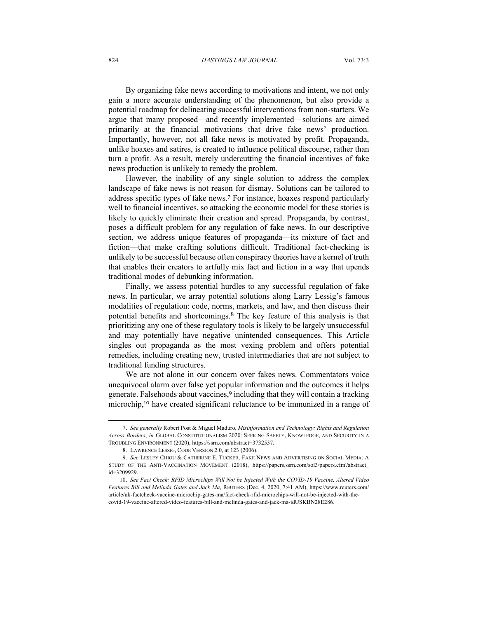#### 824 *HASTINGS LAW JOURNAL* Vol. 73:3

By organizing fake news according to motivations and intent, we not only gain a more accurate understanding of the phenomenon, but also provide a potential roadmap for delineating successful interventions from non-starters. We argue that many proposed—and recently implemented—solutions are aimed primarily at the financial motivations that drive fake news' production. Importantly, however, not all fake news is motivated by profit. Propaganda, unlike hoaxes and satires, is created to influence political discourse, rather than turn a profit. As a result, merely undercutting the financial incentives of fake news production is unlikely to remedy the problem.

However, the inability of any single solution to address the complex landscape of fake news is not reason for dismay. Solutions can be tailored to address specific types of fake news.<sup>7</sup> For instance, hoaxes respond particularly well to financial incentives, so attacking the economic model for these stories is likely to quickly eliminate their creation and spread. Propaganda, by contrast, poses a difficult problem for any regulation of fake news. In our descriptive section, we address unique features of propaganda—its mixture of fact and fiction—that make crafting solutions difficult. Traditional fact-checking is unlikely to be successful because often conspiracy theories have a kernel of truth that enables their creators to artfully mix fact and fiction in a way that upends traditional modes of debunking information.

Finally, we assess potential hurdles to any successful regulation of fake news. In particular, we array potential solutions along Larry Lessig's famous modalities of regulation: code, norms, markets, and law, and then discuss their potential benefits and shortcomings.<sup>8</sup> The key feature of this analysis is that prioritizing any one of these regulatory tools is likely to be largely unsuccessful and may potentially have negative unintended consequences. This Article singles out propaganda as the most vexing problem and offers potential remedies, including creating new, trusted intermediaries that are not subject to traditional funding structures.

We are not alone in our concern over fakes news. Commentators voice unequivocal alarm over false yet popular information and the outcomes it helps generate. Falsehoods about vaccines,<sup>9</sup> including that they will contain a tracking microchip,<sup>10</sup> have created significant reluctance to be immunized in a range of

<sup>7.</sup> *See generally* Robert Post & Miguel Maduro, *Misinformation and Technology: Rights and Regulation Across Borders*, *in* GLOBAL CONSTITUTIONALISM 2020: SEEKING SAFETY, KNOWLEDGE, AND SECURITY IN A TROUBLING ENVIRONMENT (2020), https://ssrn.com/abstract=3732537.

<sup>8.</sup> LAWRENCE LESSIG, CODE VERSION 2.0, at 123 (2006).

<sup>9.</sup> *See* LESLEY CHIOU & CATHERINE E. TUCKER, FAKE NEWS AND ADVERTISING ON SOCIAL MEDIA: A STUDY OF THE ANTI-VACCINATION MOVEMENT (2018), https://papers.ssrn.com/sol3/papers.cfm?abstract\_ id=3209929.

<sup>10.</sup> *See Fact Check: RFID Microchips Will Not be Injected With the COVID-19 Vaccine, Altered Video Features Bill and Melinda Gates and Jack Ma*, REUTERS (Dec. 4, 2020, 7:41 AM), https://www.reuters.com/ article/uk-factcheck-vaccine-microchip-gates-ma/fact-check-rfid-microchips-will-not-be-injected-with-thecovid-19-vaccine-altered-video-features-bill-and-melinda-gates-and-jack-ma-idUSKBN28E286.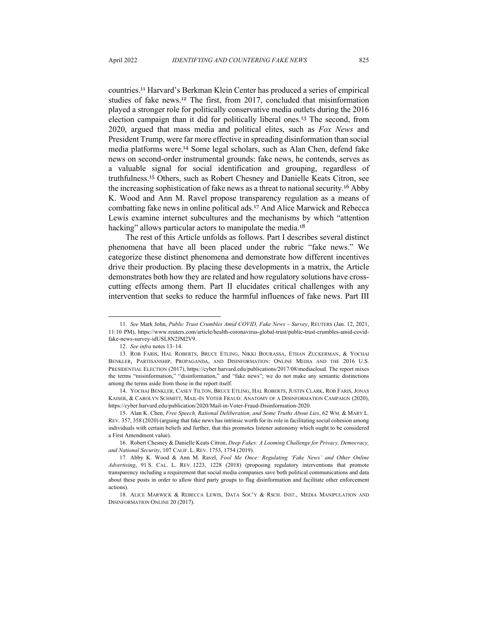countries.<sup>11</sup> Harvard's Berkman Klein Center has produced a series of empirical studies of fake news.<sup>12</sup> The first, from 2017, concluded that misinformation played a stronger role for politically conservative media outlets during the 2016 election campaign than it did for politically liberal ones.<sup>13</sup> The second, from 2020, argued that mass media and political elites, such as *Fox News* and President Trump, were far more effective in spreading disinformation than social media platforms were.<sup>14</sup> Some legal scholars, such as Alan Chen, defend fake news on second-order instrumental grounds: fake news, he contends, serves as a valuable signal for social identification and grouping, regardless of truthfulness.<sup>15</sup> Others, such as Robert Chesney and Danielle Keats Citron, see the increasing sophistication of fake news as a threat to national security.<sup>16</sup> Abby K. Wood and Ann M. Ravel propose transparency regulation as a means of combatting fake news in online political ads.<sup>17</sup> And Alice Marwick and Rebecca Lewis examine internet subcultures and the mechanisms by which "attention hacking" allows particular actors to manipulate the media.<sup>18</sup>

The rest of this Article unfolds as follows. Part I describes several distinct phenomena that have all been placed under the rubric "fake news." We categorize these distinct phenomena and demonstrate how different incentives drive their production. By placing these developments in a matrix, the Article demonstrates both how they are related and how regulatory solutions have crosscutting effects among them. Part II elucidates critical challenges with any intervention that seeks to reduce the harmful influences of fake news. Part III

<sup>11.</sup> *See* Mark John, *Public Trust Crumbles Amid COVID, Fake News – Survey*, REUTERS (Jan. 12, 2021, 11:10 PM), https://www.reuters.com/article/health-coronavirus-global-trust/public-trust-crumbles-amid-covidfake-news-survey-idUSL8N2JM2V9.

<sup>12.</sup> *See infra* notes 13–14.

<sup>13.</sup> ROB FARIS, HAL ROBERTS, BRUCE ETLING, NIKKI BOURASSA, ETHAN ZUCKERMAN, & YOCHAI BENKLER, PARTISANSHIP, PROPAGANDA, AND DISINFORMATION: ONLINE MEDIA AND THE 2016 U.S. PRESIDENTIAL ELECTION (2017), https://cyber.harvard.edu/publications/2017/08/mediacloud. The report mixes the terms "misinformation," "disinformation," and "fake news"; we do not make any semantic distinctions among the terms aside from those in the report itself.

<sup>14.</sup> YOCHAI BENKLER, CASEY TILTON, BRUCE ETLING, HAL ROBERTS, JUSTIN CLARK, ROB FARIS, JONAS KAISER, & CAROLYN SCHMITT, MAIL-IN VOTER FRAUD: ANATOMY OF A DISINFORMATION CAMPAIGN (2020), https://cyber.harvard.edu/publication/2020/Mail-in-Voter-Fraud-Disinformation-2020.

<sup>15.</sup> Alan K. Chen, *Free Speech, Rational Deliberation, and Some Truths About Lies*, 62 WM. & MARY L. REV. 357, 358 (2020) (arguing that fake news has intrinsic worth for its role in facilitating social cohesion among individuals with certain beliefs and further, that this promotes listener autonomy which ought to be considered a First Amendment value).

<sup>16.</sup> Robert Chesney & Danielle Keats Citron, *Deep Fakes: A Looming Challenge for Privacy, Democracy, and National Security*, 107 CALIF. L. REV. 1753, 1754 (2019).

<sup>17.</sup> Abby K. Wood & Ann M. Ravel, *Fool Me Once: Regulating 'Fake News' and Other Online Advertising*, 91 S. CAL. L. REV. 1223, 1228 (2018) (proposing regulatory interventions that promote transparency including a requirement that social media companies save both political communications and data about these posts in order to allow third party groups to flag disinformation and facilitate other enforcement actions).

<sup>18.</sup> ALICE MARWICK & REBECCA LEWIS, DATA SOC'Y & RSCH. INST., MEDIA MANIPULATION AND DISINFORMATION ONLINE 20 (2017).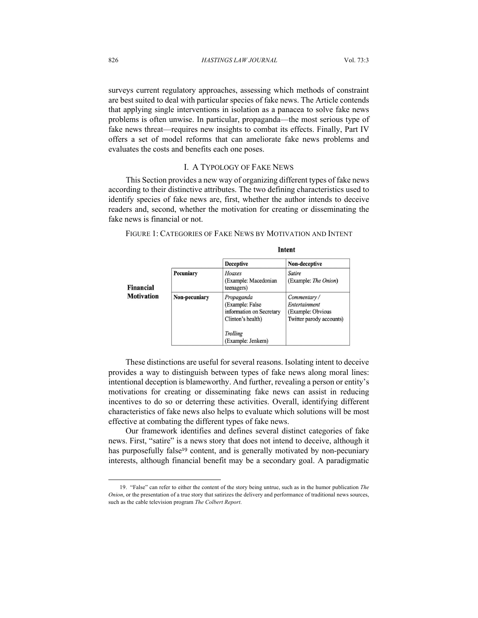surveys current regulatory approaches, assessing which methods of constraint are best suited to deal with particular species of fake news. The Article contends that applying single interventions in isolation as a panacea to solve fake news problems is often unwise. In particular, propaganda—the most serious type of fake news threat—requires new insights to combat its effects. Finally, Part IV offers a set of model reforms that can ameliorate fake news problems and evaluates the costs and benefits each one poses.

## I. A TYPOLOGY OF FAKE NEWS

This Section provides a new way of organizing different types of fake news according to their distinctive attributes. The two defining characteristics used to identify species of fake news are, first, whether the author intends to deceive readers and, second, whether the motivation for creating or disseminating the fake news is financial or not.

| FIGURE 1: CATEGORIES OF FAKE NEWS BY MOTIVATION AND INTENT |
|------------------------------------------------------------|
|------------------------------------------------------------|

|                                |               | <b>Deceptive</b>                                                                                                 | Non-deceptive                                                                 |
|--------------------------------|---------------|------------------------------------------------------------------------------------------------------------------|-------------------------------------------------------------------------------|
| Financial<br><b>Motivation</b> | Pecuniary     | Hoaxes<br>(Example: Macedonian<br>teenagers)                                                                     | Satire<br>(Example: The Onion)                                                |
|                                | Non-pecuniary | Propaganda<br>(Example: False)<br>information on Secretary<br>Clinton's health)<br>Trolling<br>(Example: Jenkem) | Commentary/<br>Entertainment<br>(Example: Obvious<br>Twitter parody accounts) |

## **Intent**

These distinctions are useful for several reasons. Isolating intent to deceive provides a way to distinguish between types of fake news along moral lines: intentional deception is blameworthy. And further, revealing a person or entity's motivations for creating or disseminating fake news can assist in reducing incentives to do so or deterring these activities. Overall, identifying different characteristics of fake news also helps to evaluate which solutions will be most effective at combating the different types of fake news.

Our framework identifies and defines several distinct categories of fake news. First, "satire" is a news story that does not intend to deceive, although it has purposefully false<sup>19</sup> content, and is generally motivated by non-pecuniary interests, although financial benefit may be a secondary goal. A paradigmatic

<sup>19.</sup> "False" can refer to either the content of the story being untrue, such as in the humor publication *The Onion*, or the presentation of a true story that satirizes the delivery and performance of traditional news sources, such as the cable television program *The Colbert Report*.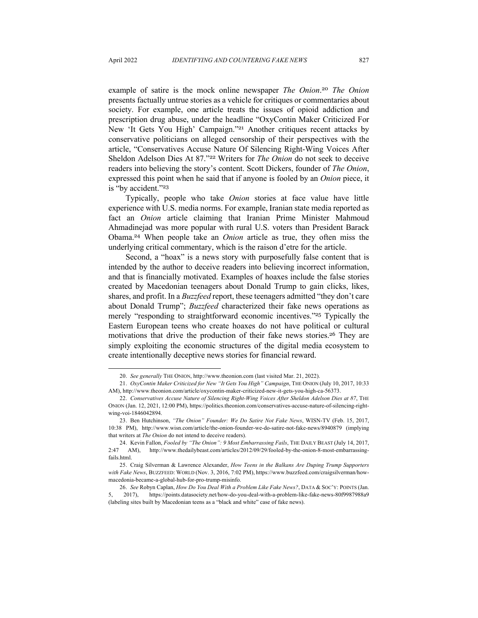example of satire is the mock online newspaper *The Onion*. <sup>20</sup> *The Onion* presents factually untrue stories as a vehicle for critiques or commentaries about society. For example, one article treats the issues of opioid addiction and prescription drug abuse, under the headline "OxyContin Maker Criticized For New 'It Gets You High' Campaign."<sup>21</sup> Another critiques recent attacks by conservative politicians on alleged censorship of their perspectives with the article, "Conservatives Accuse Nature Of Silencing Right-Wing Voices After Sheldon Adelson Dies At 87."<sup>22</sup> Writers for *The Onion* do not seek to deceive readers into believing the story's content. Scott Dickers, founder of *The Onion*, expressed this point when he said that if anyone is fooled by an *Onion* piece, it is "by accident."<sup>23</sup>

Typically, people who take *Onion* stories at face value have little experience with U.S. media norms. For example, Iranian state media reported as fact an *Onion* article claiming that Iranian Prime Minister Mahmoud Ahmadinejad was more popular with rural U.S. voters than President Barack Obama.<sup>24</sup> When people take an *Onion* article as true, they often miss the underlying critical commentary, which is the raison d'etre for the article.

Second, a "hoax" is a news story with purposefully false content that is intended by the author to deceive readers into believing incorrect information, and that is financially motivated. Examples of hoaxes include the false stories created by Macedonian teenagers about Donald Trump to gain clicks, likes, shares, and profit. In a *Buzzfeed* report, these teenagers admitted "they don't care about Donald Trump"; *Buzzfeed* characterized their fake news operations as merely "responding to straightforward economic incentives."<sup>25</sup> Typically the Eastern European teens who create hoaxes do not have political or cultural motivations that drive the production of their fake news stories.<sup>26</sup> They are simply exploiting the economic structures of the digital media ecosystem to create intentionally deceptive news stories for financial reward.

<sup>20.</sup> *See generally* THE ONION, http://www.theonion.com (last visited Mar. 21, 2022).

<sup>21.</sup> *OxyContin Maker Criticized for New "It Gets You High" Campaign*, THE ONION (July 10, 2017, 10:33 AM), http://www.theonion.com/article/oxycontin-maker-criticized-new-it-gets-you-high-ca-56373.

<sup>22.</sup> *Conservatives Accuse Nature of Silencing Right-Wing Voices After Sheldon Adelson Dies at 87*, THE ONION (Jan. 12, 2021, 12:00 PM), https://politics.theonion.com/conservatives-accuse-nature-of-silencing-rightwing-voi-1846042894.

<sup>23.</sup> Ben Hutchinson, *"The Onion" Founder: We Do Satire Not Fake News*, WISN-TV (Feb. 15, 2017, 10:38 PM), http://www.wisn.com/article/the-onion-founder-we-do-satire-not-fake-news/8940879 (implying that writers at *The Onion* do not intend to deceive readers).

<sup>24.</sup> Kevin Fallon, *Fooled by "The Onion": 9 Most Embarrassing Fails*, THE DAILY BEAST (July 14, 2017, 2:47 AM), http://www.thedailybeast.com/articles/2012/09/29/fooled-by-the-onion-8-most-embarrassingfails.html.

<sup>25.</sup> Craig Silverman & Lawrence Alexander, *How Teens in the Balkans Are Duping Trump Supporters with Fake News*, BUZZFEED: WORLD (Nov. 3, 2016, 7:02 PM), https://www.buzzfeed.com/craigsilverman/howmacedonia-became-a-global-hub-for-pro-trump-misinfo.

<sup>26.</sup> *See* Robyn Caplan, *How Do You Deal With a Problem Like Fake News?*, DATA & SOC'Y: POINTS (Jan. 5, 2017), https://points.datasociety.net/how-do-you-deal-with-a-problem-like-fake-news-80f9987988a9 (labeling sites built by Macedonian teens as a "black and white" case of fake news).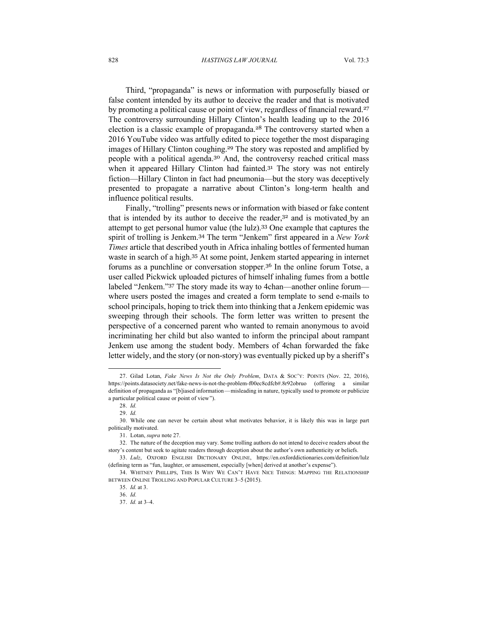Third, "propaganda" is news or information with purposefully biased or false content intended by its author to deceive the reader and that is motivated by promoting a political cause or point of view, regardless of financial reward.<sup>27</sup> The controversy surrounding Hillary Clinton's health leading up to the 2016 election is a classic example of propaganda.<sup>28</sup> The controversy started when a 2016 YouTube video was artfully edited to piece together the most disparaging images of Hillary Clinton coughing.<sup>29</sup> The story was reposted and amplified by people with a political agenda.<sup>30</sup> And, the controversy reached critical mass when it appeared Hillary Clinton had fainted.<sup>31</sup> The story was not entirely fiction—Hillary Clinton in fact had pneumonia—but the story was deceptively presented to propagate a narrative about Clinton's long-term health and influence political results.

Finally, "trolling" presents news or information with biased or fake content that is intended by its author to deceive the reader,<sup>32</sup> and is motivated by an attempt to get personal humor value (the lulz).<sup>33</sup> One example that captures the spirit of trolling is Jenkem.<sup>34</sup> The term "Jenkem" first appeared in a *New York Times* article that described youth in Africa inhaling bottles of fermented human waste in search of a high.<sup>35</sup> At some point, Jenkem started appearing in internet forums as a punchline or conversation stopper.<sup>36</sup> In the online forum Totse, a user called Pickwick uploaded pictures of himself inhaling fumes from a bottle labeled "Jenkem."<sup>37</sup> The story made its way to 4chan—another online forum where users posted the images and created a form template to send e-mails to school principals, hoping to trick them into thinking that a Jenkem epidemic was sweeping through their schools. The form letter was written to present the perspective of a concerned parent who wanted to remain anonymous to avoid incriminating her child but also wanted to inform the principal about rampant Jenkem use among the student body. Members of 4chan forwarded the fake letter widely, and the story (or non-story) was eventually picked up by a sheriff's

<sup>27.</sup> Gilad Lotan, *Fake News Is Not the Only Problem*, DATA & SOC'Y: POINTS (Nov. 22, 2016), https://points.datasociety.net/fake-news-is-not-the-problem-f00ec8cdfcb#.8r92obruo (offering a similar definition of propaganda as "[b]iased information — misleading in nature, typically used to promote or publicize a particular political cause or point of view ").

<sup>28.</sup> *Id.*

<sup>29.</sup> *Id.*

<sup>30.</sup> While one can never be certain about what motivates behavior, it is likely this was in large part politically motivated.

<sup>31.</sup> Lotan, *supra* note 27.

<sup>32.</sup> The nature of the deception may vary. Some trolling authors do not intend to deceive readers about the story's content but seek to agitate readers through deception about the author's own authenticity or beliefs.

<sup>33.</sup> *Lulz*, OXFORD ENGLISH DICTIONARY ONLINE, https://en.oxforddictionaries.com/definition/lulz (defining term as "fun, laughter, or amusement, especially [when] derived at another's expense").

<sup>34.</sup> WHITNEY PHILLIPS, THIS IS WHY WE CAN'T HAVE NICE THINGS: MAPPING THE RELATIONSHIP BETWEEN ONLINE TROLLING AND POPULAR CULTURE 3–5 (2015).

<sup>35.</sup> *Id.* at 3.

<sup>36.</sup> *Id.*

<sup>37.</sup> *Id.* at 3–4.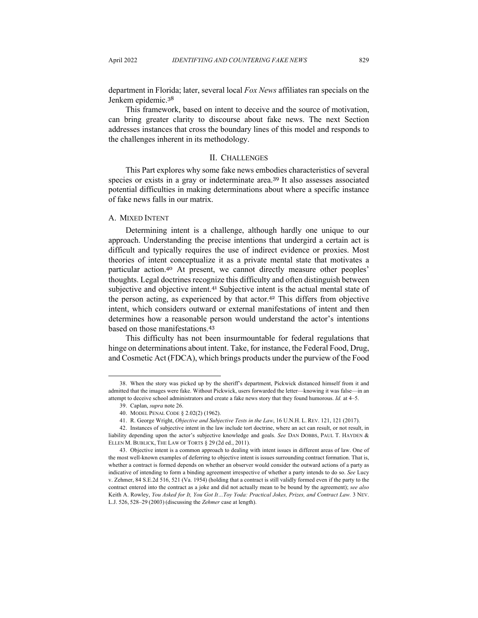department in Florida; later, several local *Fox News* affiliates ran specials on the Jenkem epidemic.<sup>38</sup>

This framework, based on intent to deceive and the source of motivation, can bring greater clarity to discourse about fake news. The next Section addresses instances that cross the boundary lines of this model and responds to the challenges inherent in its methodology.

## II. CHALLENGES

This Part explores why some fake news embodies characteristics of several species or exists in a gray or indeterminate area.<sup>39</sup> It also assesses associated potential difficulties in making determinations about where a specific instance of fake news falls in our matrix.

## A. MIXED INTENT

Determining intent is a challenge, although hardly one unique to our approach. Understanding the precise intentions that undergird a certain act is difficult and typically requires the use of indirect evidence or proxies. Most theories of intent conceptualize it as a private mental state that motivates a particular action.<sup>40</sup> At present, we cannot directly measure other peoples' thoughts. Legal doctrines recognize this difficulty and often distinguish between subjective and objective intent.<sup>41</sup> Subjective intent is the actual mental state of the person acting, as experienced by that actor.<sup>42</sup> This differs from objective intent, which considers outward or external manifestations of intent and then determines how a reasonable person would understand the actor's intentions based on those manifestations.<sup>43</sup>

This difficulty has not been insurmountable for federal regulations that hinge on determinations about intent. Take, for instance, the Federal Food, Drug, and Cosmetic Act (FDCA), which brings products under the purview of the Food

<sup>38.</sup> When the story was picked up by the sheriff's department, Pickwick distanced himself from it and admitted that the images were fake. Without Pickwick, users forwarded the letter—knowing it was false—in an attempt to deceive school administrators and create a fake news story that they found humorous. *Id.* at 4–5.

<sup>39.</sup> Caplan, *supra* note 26.

<sup>40.</sup> MODEL PENAL CODE § 2.02(2) (1962).

<sup>41.</sup> R. George Wright, *Objective and Subjective Tests in the Law*, 16 U.N.H. L. REV. 121, 121 (2017).

<sup>42.</sup> Instances of subjective intent in the law include tort doctrine, where an act can result, or not result, in liability depending upon the actor's subjective knowledge and goals. *See* DAN DOBBS, PAUL T. HAYDEN & ELLEN M. BUBLICK, THE LAW OF TORTS § 29 (2d ed., 2011).

<sup>43.</sup> Objective intent is a common approach to dealing with intent issues in different areas of law. One of the most well-known examples of deferring to objective intent is issues surrounding contract formation. That is, whether a contract is formed depends on whether an observer would consider the outward actions of a party as indicative of intending to form a binding agreement irrespective of whether a party intends to do so. *See* Lucy v. Zehmer, 84 S.E.2d 516, 521 (Va. 1954) (holding that a contract is still validly formed even if the party to the contract entered into the contract as a joke and did not actually mean to be bound by the agreement); *see also*  Keith A. Rowley, *You Asked for It, You Got It... Toy Yoda: Practical Jokes, Prizes, and Contract Law.* 3 NEV. L.J. 526, 528–29 (2003) (discussing the *Zehmer* case at length).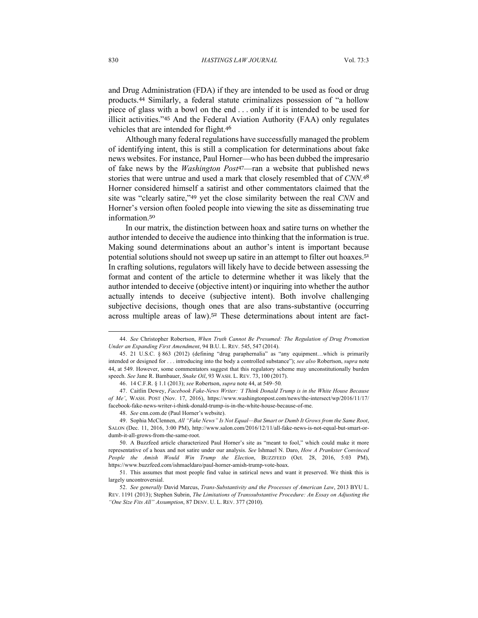and Drug Administration (FDA) if they are intended to be used as food or drug products.<sup>44</sup> Similarly, a federal statute criminalizes possession of "a hollow piece of glass with a bowl on the end . . . only if it is intended to be used for illicit activities."<sup>45</sup> And the Federal Aviation Authority (FAA) only regulates vehicles that are intended for flight.<sup>46</sup>

Although many federal regulations have successfully managed the problem of identifying intent, this is still a complication for determinations about fake news websites. For instance, Paul Horner—who has been dubbed the impresario of fake news by the *Washington Post*<sup>47</sup>—ran a website that published news stories that were untrue and used a mark that closely resembled that of *CNN*. 48 Horner considered himself a satirist and other commentators claimed that the site was "clearly satire,"<sup>49</sup> yet the close similarity between the real *CNN* and Horner's version often fooled people into viewing the site as disseminating true information.<sup>50</sup>

In our matrix, the distinction between hoax and satire turns on whether the author intended to deceive the audience into thinking that the information is true. Making sound determinations about an author's intent is important because potential solutions should not sweep up satire in an attempt to filter out hoaxes.<sup>51</sup> In crafting solutions, regulators will likely have to decide between assessing the format and content of the article to determine whether it was likely that the author intended to deceive (objective intent) or inquiring into whether the author actually intends to deceive (subjective intent). Both involve challenging subjective decisions, though ones that are also trans-substantive (occurring across multiple areas of law).<sup>52</sup> These determinations about intent are fact-

<sup>44.</sup> *See* Christopher Robertson, *When Truth Cannot Be Presumed: The Regulation of Drug Promotion Under an Expanding First Amendment*, 94 B.U. L. REV. 545, 547 (2014).

<sup>45.</sup> 21 U.S.C. § 863 (2012) (defining "drug paraphernalia" as "any equipment…which is primarily intended or designed for . . . introducing into the body a controlled substance"); *see also* Robertson, *supra* note 44, at 549. However, some commentators suggest that this regulatory scheme may unconstitutionally burden speech. *See* Jane R. Bambauer, *Snake Oil*, 93 WASH. L. REV. 73, 100 (2017).

<sup>46.</sup> 14 C.F.R. § 1.1 (2013); *see* Robertson, *supra* note 44, at 549–50*.*

<sup>47.</sup> Caitlin Dewey, *Facebook Fake-News Writer: 'I Think Donald Trump is in the White House Because of Me'*, WASH. POST (Nov. 17, 2016), https://www.washingtonpost.com/news/the-intersect/wp/2016/11/17/ facebook-fake-news-writer-i-think-donald-trump-is-in-the-white-house-because-of-me.

<sup>48.</sup> *See* cnn.com.de (Paul Horner's website).

<sup>49.</sup> Sophia McClennen, *All "Fake News" Is Not Equal—But Smart or Dumb It Grows from the Same Root*, SALON (Dec. 11, 2016, 3:00 PM), http://www.salon.com/2016/12/11/all-fake-news-is-not-equal-but-smart-ordumb-it-all-grows-from-the-same-root.

<sup>50.</sup> A Buzzfeed article characterized Paul Horner's site as "meant to fool," which could make it more representative of a hoax and not satire under our analysis. *See* Ishmael N. Daro, *How A Prankster Convinced People the Amish Would Win Trump the Election*, BUZZFEED (Oct. 28, 2016, 5:03 PM), https://www.buzzfeed.com/ishmaeldaro/paul-horner-amish-trump-vote-hoax.

<sup>51.</sup> This assumes that most people find value in satirical news and want it preserved. We think this is largely uncontroversial.

<sup>52.</sup> *See generally* David Marcus, *Trans-Substantivity and the Processes of American Law*, 2013 BYU L. REV. 1191 (2013); Stephen Subrin, *The Limitations of Transsubstantive Procedure: An Essay on Adjusting the "One Size Fits All" Assumption*, 87 DENV. U. L. REV. 377 (2010).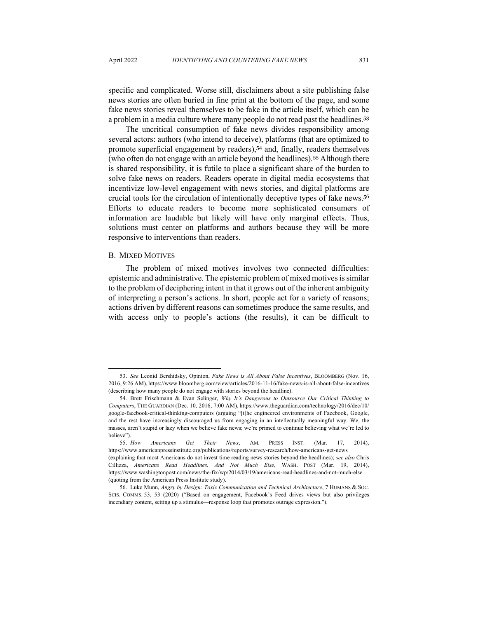specific and complicated. Worse still, disclaimers about a site publishing false news stories are often buried in fine print at the bottom of the page, and some fake news stories reveal themselves to be fake in the article itself, which can be a problem in a media culture where many people do not read past the headlines.<sup>53</sup>

The uncritical consumption of fake news divides responsibility among several actors: authors (who intend to deceive), platforms (that are optimized to promote superficial engagement by readers),<sup>54</sup> and, finally, readers themselves (who often do not engage with an article beyond the headlines).<sup>55</sup> Although there is shared responsibility, it is futile to place a significant share of the burden to solve fake news on readers. Readers operate in digital media ecosystems that incentivize low-level engagement with news stories, and digital platforms are crucial tools for the circulation of intentionally deceptive types of fake news.<sup>56</sup> Efforts to educate readers to become more sophisticated consumers of information are laudable but likely will have only marginal effects. Thus, solutions must center on platforms and authors because they will be more responsive to interventions than readers.

#### B. MIXED MOTIVES

The problem of mixed motives involves two connected difficulties: epistemic and administrative. The epistemic problem of mixed motives is similar to the problem of deciphering intent in that it grows out of the inherent ambiguity of interpreting a person's actions. In short, people act for a variety of reasons; actions driven by different reasons can sometimes produce the same results, and with access only to people's actions (the results), it can be difficult to

<sup>53.</sup> *See* Leonid Bershidsky, Opinion, *Fake News is All About False Incentives*, BLOOMBERG (Nov. 16, 2016, 9:26 AM), https://www.bloomberg.com/view/articles/2016-11-16/fake-news-is-all-about-false-incentives (describing how many people do not engage with stories beyond the headline).

<sup>54.</sup> Brett Frischmann & Evan Selinger, *Why It's Dangerous to Outsource Our Critical Thinking to Computers*, THE GUARDIAN (Dec. 10, 2016, 7:00 AM), https://www.theguardian.com/technology/2016/dec/10/ google-facebook-critical-thinking-computers (arguing "[t]he engineered environments of Facebook, Google, and the rest have increasingly discouraged us from engaging in an intellectually meaningful way. We, the masses, aren't stupid or lazy when we believe fake news; we're primed to continue believing what we're led to believe").

<sup>55.</sup> *How Americans Get Their News*, AM. PRESS INST. (Mar. 17, 2014), https://www.americanpressinstitute.org/publications/reports/survey-research/how-americans-get-news (explaining that most Americans do not invest time reading news stories beyond the headlines); *see also* Chris Cillizza, *Americans Read Headlines. And Not Much Else*, WASH. POST (Mar. 19, 2014), https://www.washingtonpost.com/news/the-fix/wp/2014/03/19/americans-read-headlines-and-not-much-else (quoting from the American Press Institute study).

<sup>56.</sup> Luke Munn, *Angry by Design: Toxic Communication and Technical Architecture*, 7 HUMANS & SOC. SCIS. COMMS. 53, 53 (2020) ("Based on engagement, Facebook's Feed drives views but also privileges incendiary content, setting up a stimulus—response loop that promotes outrage expression.").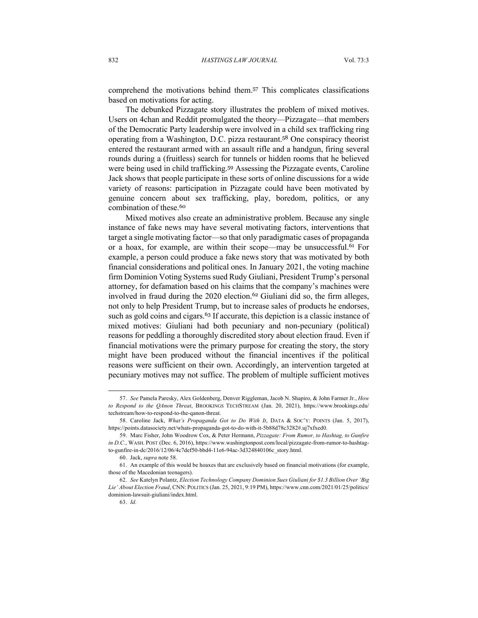comprehend the motivations behind them.<sup>57</sup> This complicates classifications based on motivations for acting.

The debunked Pizzagate story illustrates the problem of mixed motives. Users on 4chan and Reddit promulgated the theory—Pizzagate—that members of the Democratic Party leadership were involved in a child sex trafficking ring operating from a Washington, D.C. pizza restaurant.<sup>58</sup> One conspiracy theorist entered the restaurant armed with an assault rifle and a handgun, firing several rounds during a (fruitless) search for tunnels or hidden rooms that he believed were being used in child trafficking.<sup>59</sup> Assessing the Pizzagate events, Caroline Jack shows that people participate in these sorts of online discussions for a wide variety of reasons: participation in Pizzagate could have been motivated by genuine concern about sex trafficking, play, boredom, politics, or any combination of these.<sup>60</sup>

Mixed motives also create an administrative problem. Because any single instance of fake news may have several motivating factors, interventions that target a single motivating factor—so that only paradigmatic cases of propaganda or a hoax, for example, are within their scope—may be unsuccessful.<sup>61</sup> For example, a person could produce a fake news story that was motivated by both financial considerations and political ones. In January 2021, the voting machine firm Dominion Voting Systems sued Rudy Giuliani, President Trump's personal attorney, for defamation based on his claims that the company's machines were involved in fraud during the 2020 election.<sup>62</sup> Giuliani did so, the firm alleges, not only to help President Trump, but to increase sales of products he endorses, such as gold coins and cigars.<sup>63</sup> If accurate, this depiction is a classic instance of mixed motives: Giuliani had both pecuniary and non-pecuniary (political) reasons for peddling a thoroughly discredited story about election fraud. Even if financial motivations were the primary purpose for creating the story, the story might have been produced without the financial incentives if the political reasons were sufficient on their own. Accordingly, an intervention targeted at pecuniary motives may not suffice. The problem of multiple sufficient motives

<sup>57.</sup> *See* Pamela Paresky, Alex Goldenberg, Denver Riggleman, Jacob N. Shapiro, & John Farmer Jr., *How to Respond to the QAnon Threat*, BROOKINGS TECHSTREAM (Jan. 20, 2021), https://www.brookings.edu/ techstream/how-to-respond-to-the-qanon-threat.

<sup>58.</sup> Caroline Jack, *What's Propaganda Got to Do With It*, DATA & SOC'Y: POINTS (Jan. 5, 2017), https://points.datasociety.net/whats-propaganda-got-to-do-with-it-5b88d78c3282#.uj7xfxed0.

<sup>59.</sup> Marc Fisher, John Woodrow Cox, & Peter Hermann, *Pizzagate: From Rumor, to Hashtag, to Gunfire in D.C.*, WASH. POST (Dec. 6, 2016), https://www.washingtonpost.com/local/pizzagate-from-rumor-to-hashtagto-gunfire-in-dc/2016/12/06/4c7def50-bbd4-11e6-94ac-3d324840106c\_story.html.

<sup>60.</sup> Jack, *supra* note 58.

<sup>61.</sup> An example of this would be hoaxes that are exclusively based on financial motivations (for example, those of the Macedonian teenagers).

<sup>62.</sup> *See* Katelyn Polantz, *Election Technology Company Dominion Sues Giuliani for \$1.3 Billion Over 'Big Lie' About Election Fraud*, CNN: POLITICS (Jan. 25, 2021, 9:19 PM), https://www.cnn.com/2021/01/25/politics/ dominion-lawsuit-giuliani/index.html.

<sup>63.</sup> *Id.*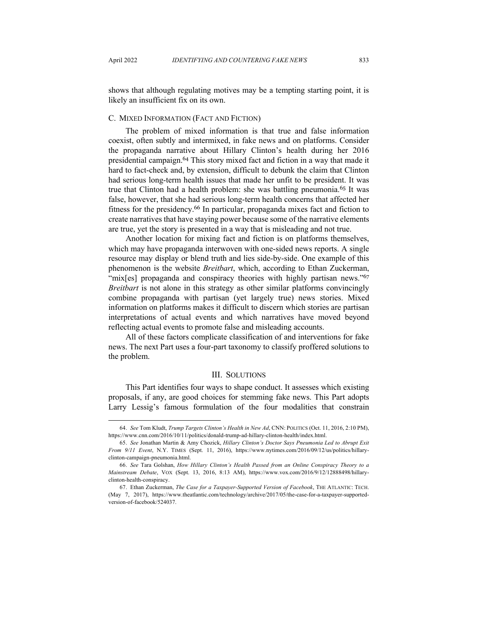shows that although regulating motives may be a tempting starting point, it is likely an insufficient fix on its own.

## C. MIXED INFORMATION (FACT AND FICTION)

The problem of mixed information is that true and false information coexist, often subtly and intermixed, in fake news and on platforms. Consider the propaganda narrative about Hillary Clinton's health during her 2016 presidential campaign.<sup>64</sup> This story mixed fact and fiction in a way that made it hard to fact-check and, by extension, difficult to debunk the claim that Clinton had serious long-term health issues that made her unfit to be president. It was true that Clinton had a health problem: she was battling pneumonia.<sup>65</sup> It was false, however, that she had serious long-term health concerns that affected her fitness for the presidency.<sup>66</sup> In particular, propaganda mixes fact and fiction to create narratives that have staying power because some of the narrative elements are true, yet the story is presented in a way that is misleading and not true.

Another location for mixing fact and fiction is on platforms themselves, which may have propaganda interwoven with one-sided news reports. A single resource may display or blend truth and lies side-by-side. One example of this phenomenon is the website *Breitbart*, which, according to Ethan Zuckerman, "mix[es] propaganda and conspiracy theories with highly partisan news."<sup>67</sup> *Breitbart* is not alone in this strategy as other similar platforms convincingly combine propaganda with partisan (yet largely true) news stories. Mixed information on platforms makes it difficult to discern which stories are partisan interpretations of actual events and which narratives have moved beyond reflecting actual events to promote false and misleading accounts.

All of these factors complicate classification of and interventions for fake news. The next Part uses a four-part taxonomy to classify proffered solutions to the problem.

#### III. SOLUTIONS

This Part identifies four ways to shape conduct. It assesses which existing proposals, if any, are good choices for stemming fake news. This Part adopts Larry Lessig's famous formulation of the four modalities that constrain

<sup>64.</sup> *See* Tom Kludt, *Trump Targets Clinton's Health in New Ad*, CNN: POLITICS (Oct. 11, 2016, 2:10 PM), https://www.cnn.com/2016/10/11/politics/donald-trump-ad-hillary-clinton-health/index.html.

<sup>65.</sup> *See* Jonathan Martin & Amy Chozick, *Hillary Clinton's Doctor Says Pneumonia Led to Abrupt Exit From 9/11 Event*, N.Y. TIMES (Sept. 11, 2016), https://www.nytimes.com/2016/09/12/us/politics/hillaryclinton-campaign-pneumonia.html.

<sup>66.</sup> *See* Tara Golshan, *How Hillary Clinton's Health Passed from an Online Conspiracy Theory to a Mainstream Debate*, VOX (Sept. 13, 2016, 8:13 AM), https://www.vox.com/2016/9/12/12888498/hillaryclinton-health-conspiracy.

<sup>67.</sup> Ethan Zuckerman, *The Case for a Taxpayer-Supported Version of Facebook*, THE ATLANTIC: TECH. (May 7, 2017), https://www.theatlantic.com/technology/archive/2017/05/the-case-for-a-taxpayer-supportedversion-of-facebook/524037.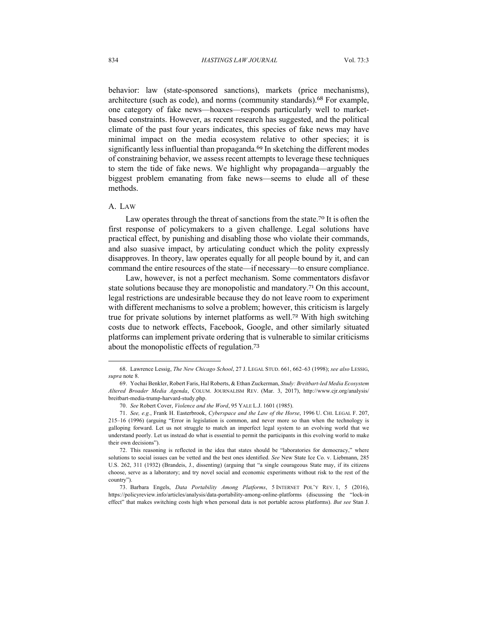behavior: law (state-sponsored sanctions), markets (price mechanisms), architecture (such as code), and norms (community standards).<sup>68</sup> For example, one category of fake news—hoaxes—responds particularly well to marketbased constraints. However, as recent research has suggested, and the political climate of the past four years indicates, this species of fake news may have minimal impact on the media ecosystem relative to other species; it is significantly less influential than propaganda.<sup>69</sup> In sketching the different modes of constraining behavior, we assess recent attempts to leverage these techniques to stem the tide of fake news. We highlight why propaganda—arguably the biggest problem emanating from fake news—seems to elude all of these methods.

## A. LAW

Law operates through the threat of sanctions from the state.<sup>70</sup> It is often the first response of policymakers to a given challenge. Legal solutions have practical effect, by punishing and disabling those who violate their commands, and also suasive impact, by articulating conduct which the polity expressly disapproves. In theory, law operates equally for all people bound by it, and can command the entire resources of the state—if necessary—to ensure compliance.

Law, however, is not a perfect mechanism. Some commentators disfavor state solutions because they are monopolistic and mandatory.<sup>71</sup> On this account, legal restrictions are undesirable because they do not leave room to experiment with different mechanisms to solve a problem; however, this criticism is largely true for private solutions by internet platforms as well.<sup>72</sup> With high switching costs due to network effects, Facebook, Google, and other similarly situated platforms can implement private ordering that is vulnerable to similar criticisms about the monopolistic effects of regulation.<sup>73</sup>

<sup>68.</sup> Lawrence Lessig, *The New Chicago School*, 27 J. LEGAL STUD. 661, 662–63 (1998); *see also* LESSIG, *supra* note 8.

<sup>69.</sup> Yochai Benkler, Robert Faris, Hal Roberts, & Ethan Zuckerman, *Study: Breitbart-led Media Ecosystem Altered Broader Media Agenda*, COLUM. JOURNALISM REV. (Mar. 3, 2017), http://www.cjr.org/analysis/ breitbart-media-trump-harvard-study.php.

<sup>70.</sup> *See* Robert Cover, *Violence and the Word*, 95 YALE L.J. 1601 (1985).

<sup>71.</sup> *See, e.g.*, Frank H. Easterbrook, *Cyberspace and the Law of the Horse*, 1996 U. CHI. LEGAL F. 207, 215–16 (1996) (arguing "Error in legislation is common, and never more so than when the technology is galloping forward. Let us not struggle to match an imperfect legal system to an evolving world that we understand poorly. Let us instead do what is essential to permit the participants in this evolving world to make their own decisions").

<sup>72.</sup> This reasoning is reflected in the idea that states should be "laboratories for democracy," where solutions to social issues can be vetted and the best ones identified. *See* New State Ice Co. v. Liebmann, 285 U.S. 262, 311 (1932) (Brandeis, J., dissenting) (arguing that "a single courageous State may, if its citizens choose, serve as a laboratory; and try novel social and economic experiments without risk to the rest of the country").

<sup>73.</sup> Barbara Engels, *Data Portability Among Platforms*, 5 INTERNET POL'Y REV. 1, 5 (2016), https://policyreview.info/articles/analysis/data-portability-among-online-platforms (discussing the "lock-in effect" that makes switching costs high when personal data is not portable across platforms). *But see* Stan J.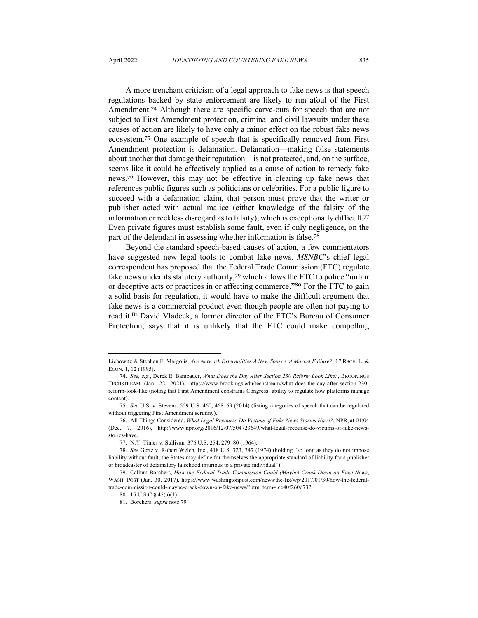A more trenchant criticism of a legal approach to fake news is that speech regulations backed by state enforcement are likely to run afoul of the First Amendment.<sup>74</sup> Although there are specific carve-outs for speech that are not subject to First Amendment protection, criminal and civil lawsuits under these causes of action are likely to have only a minor effect on the robust fake news ecosystem.<sup>75</sup> One example of speech that is specifically removed from First Amendment protection is defamation. Defamation—making false statements about another that damage their reputation—is not protected, and, on the surface, seems like it could be effectively applied as a cause of action to remedy fake news.<sup>76</sup> However, this may not be effective in clearing up fake news that references public figures such as politicians or celebrities. For a public figure to succeed with a defamation claim, that person must prove that the writer or publisher acted with actual malice (either knowledge of the falsity of the information or reckless disregard as to falsity), which is exceptionally difficult.<sup>77</sup> Even private figures must establish some fault, even if only negligence, on the part of the defendant in assessing whether information is false.<sup>78</sup>

Beyond the standard speech-based causes of action, a few commentators have suggested new legal tools to combat fake news. *MSNBC*'s chief legal correspondent has proposed that the Federal Trade Commission (FTC) regulate fake news under its statutory authority,<sup>79</sup> which allows the FTC to police "unfair or deceptive acts or practices in or affecting commerce."<sup>80</sup> For the FTC to gain a solid basis for regulation, it would have to make the difficult argument that fake news is a commercial product even though people are often not paying to read it.<sup>81</sup> David Vladeck, a former director of the FTC's Bureau of Consumer Protection, says that it is unlikely that the FTC could make compelling

Liebowitz & Stephen E. Margolis, *Are Network Externalities A New Source of Market Failure?*, 17 RSCH. L. & ECON. 1, 12 (1995).

<sup>74.</sup> *See, e.g.*, Derek E. Bambauer, *What Does the Day After Section 230 Reform Look Like?*, BROOKINGS TECHSTREAM (Jan. 22, 2021), https://www.brookings.edu/techstream/what-does-the-day-after-section-230 reform-look-like (noting that First Amendment constrains Congress' ability to regulate how platforms manage content).

<sup>75.</sup> *See* U.S. v. Stevens, 559 U.S. 460, 468–69 (2014) (listing categories of speech that can be regulated without triggering First Amendment scrutiny).

<sup>76.</sup> All Things Considered, *What Legal Recourse Do Victims of Fake News Stories Have?*, NPR, at 01:04 (Dec. 7, 2016), http://www.npr.org/2016/12/07/504723649/what-legal-recourse-do-victims-of-fake-newsstories-have.

<sup>77.</sup> N.Y. Times v. Sullivan*,* 376 U.S. 254, 279–80 (1964).

<sup>78.</sup> *See* Gertz v. Robert Welch, Inc., 418 U.S. 323, 347 (1974) (holding "so long as they do not impose liability without fault, the States may define for themselves the appropriate standard of liability for a publisher or broadcaster of defamatory falsehood injurious to a private individual").

<sup>79.</sup> Callum Borchers, *How the Federal Trade Commission Could (Maybe) Crack Down on Fake News*, WASH. POST (Jan. 30, 2017), https://www.washingtonpost.com/news/the-fix/wp/2017/01/30/how-the-federaltrade-commission-could-maybe-crack-down-on-fake-news/?utm\_term=.ce40f260d732.

<sup>80.</sup> 15 U.S.C § 45(a)(1).

<sup>81.</sup> Borchers, *supra* note 79.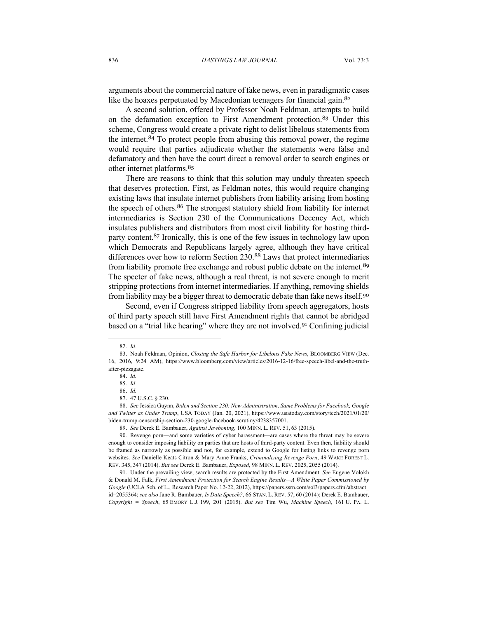arguments about the commercial nature of fake news, even in paradigmatic cases like the hoaxes perpetuated by Macedonian teenagers for financial gain.<sup>82</sup>

A second solution, offered by Professor Noah Feldman, attempts to build on the defamation exception to First Amendment protection.<sup>83</sup> Under this scheme, Congress would create a private right to delist libelous statements from the internet.<sup>84</sup> To protect people from abusing this removal power, the regime would require that parties adjudicate whether the statements were false and defamatory and then have the court direct a removal order to search engines or other internet platforms.<sup>85</sup>

There are reasons to think that this solution may unduly threaten speech that deserves protection. First, as Feldman notes, this would require changing existing laws that insulate internet publishers from liability arising from hosting the speech of others.<sup>86</sup> The strongest statutory shield from liability for internet intermediaries is Section 230 of the Communications Decency Act, which insulates publishers and distributors from most civil liability for hosting thirdparty content.<sup>87</sup> Ironically, this is one of the few issues in technology law upon which Democrats and Republicans largely agree, although they have critical differences over how to reform Section 230.<sup>88</sup> Laws that protect intermediaries from liability promote free exchange and robust public debate on the internet.<sup>89</sup> The specter of fake news, although a real threat, is not severe enough to merit stripping protections from internet intermediaries. If anything, removing shields from liability may be a bigger threat to democratic debate than fake news itself.<sup>90</sup>

Second, even if Congress stripped liability from speech aggregators, hosts of third party speech still have First Amendment rights that cannot be abridged based on a "trial like hearing" where they are not involved.<sup>91</sup> Confining judicial

<sup>82.</sup> *Id.*

<sup>83.</sup> Noah Feldman, Opinion, *Closing the Safe Harbor for Libelous Fake News*, BLOOMBERG VIEW (Dec. 16, 2016, 9:24 AM), https://www.bloomberg.com/view/articles/2016-12-16/free-speech-libel-and-the-truthafter-pizzagate.

<sup>84.</sup> *Id.*

<sup>85.</sup> *Id.*

<sup>86.</sup> *Id.*

<sup>87.</sup> 47 U.S.C. § 230.

<sup>88.</sup> *See* Jessica Guynn, *Biden and Section 230: New Administration, Same Problems for Facebook, Google and Twitter as Under Trump*, USA TODAY (Jan. 20, 2021), https://www.usatoday.com/story/tech/2021/01/20/ biden-trump-censorship-section-230-google-facebook-scrutiny/4238357001.

<sup>89.</sup> *See* Derek E. Bambauer, *Against Jawboning*, 100 MINN. L. REV. 51, 63 (2015).

<sup>90.</sup> Revenge porn—and some varieties of cyber harassment—are cases where the threat may be severe enough to consider imposing liability on parties that are hosts of third-party content. Even then, liability should be framed as narrowly as possible and not, for example, extend to Google for listing links to revenge porn websites. *See* Danielle Keats Citron & Mary Anne Franks, *Criminalizing Revenge Porn*, 49 WAKE FOREST L. REV. 345, 347 (2014). *But see* Derek E. Bambauer, *Exposed*, 98 MINN. L. REV. 2025, 2055 (2014).

<sup>91.</sup> Under the prevailing view, search results are protected by the First Amendment. *See* Eugene Volokh & Donald M. Falk, *First Amendment Protection for Search Engine Results—A White Paper Commissioned by Google* (UCLA Sch. of L., Research Paper No. 12-22, 2012), https://papers.ssrn.com/sol3/papers.cfm?abstract\_ id=2055364; *see also* Jane R. Bambauer, *Is Data Speech?*, 66 STAN. L. REV. 57, 60 (2014); Derek E. Bambauer, *Copyright = Speech*, 65 EMORY L.J. 199, 201 (2015). *But see* Tim Wu, *Machine Speech*, 161 U. PA. L.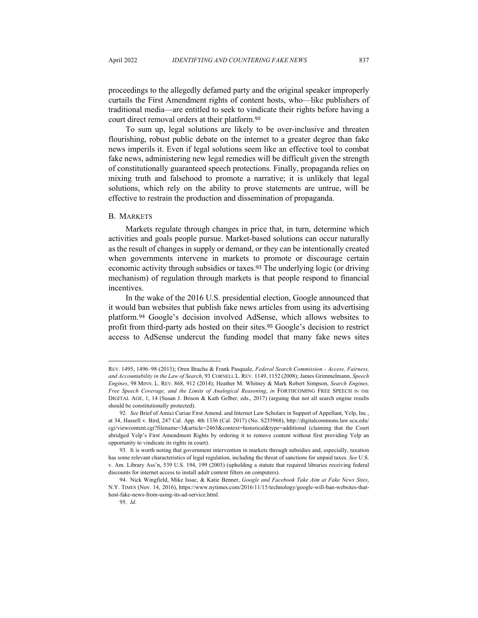proceedings to the allegedly defamed party and the original speaker improperly curtails the First Amendment rights of content hosts, who—like publishers of traditional media—are entitled to seek to vindicate their rights before having a court direct removal orders at their platform.<sup>92</sup>

To sum up, legal solutions are likely to be over-inclusive and threaten flourishing, robust public debate on the internet to a greater degree than fake news imperils it. Even if legal solutions seem like an effective tool to combat fake news, administering new legal remedies will be difficult given the strength of constitutionally guaranteed speech protections. Finally, propaganda relies on mixing truth and falsehood to promote a narrative; it is unlikely that legal solutions, which rely on the ability to prove statements are untrue, will be effective to restrain the production and dissemination of propaganda.

#### B. MARKETS

Markets regulate through changes in price that, in turn, determine which activities and goals people pursue. Market-based solutions can occur naturally as the result of changes in supply or demand, or they can be intentionally created when governments intervene in markets to promote or discourage certain economic activity through subsidies or taxes.<sup>93</sup> The underlying logic (or driving mechanism) of regulation through markets is that people respond to financial incentives.

In the wake of the 2016 U.S. presidential election, Google announced that it would ban websites that publish fake news articles from using its advertising platform.<sup>94</sup> Google's decision involved AdSense, which allows websites to profit from third-party ads hosted on their sites.<sup>95</sup> Google's decision to restrict access to AdSense undercut the funding model that many fake news sites

REV. 1495, 1496–98 (2013); Oren Bracha & Frank Pasquale, *Federal Search Commission - Access, Fairness, and Accountability in the Law of Search*, 93 CORNELL L. REV. 1149, 1152 (2008); James Grimmelmann, *Speech Engines*, 98 MINN. L. REV. 868, 912 (2014); Heather M. Whitney & Mark Robert Simpson, *Search Engines, Free Speech Coverage, and the Limits of Analogical Reasoning*, *in* FORTHCOMING FREE SPEECH IN THE DIGITAL AGE, 1, 14 (Susan J. Brison & Kath Gelber, eds., 2017) (arguing that not all search engine results should be constitutionally protected).

<sup>92.</sup> *See* Brief of Amici Curiae First Amend. and Internet Law Scholars in Support of Appellant, Yelp, Inc., at 34, Hassell v. Bird, 247 Cal. App. 4th 1336 (Cal. 2017) (No. S235968), http://digitalcommons.law.scu.edu/ cgi/viewcontent.cgi?filename=3&article=2463&context=historical&type=additional (claiming that the Court abridged Yelp's First Amendment Rights by ordering it to remove content without first providing Yelp an opportunity to vindicate its rights in court).

<sup>93.</sup> It is worth noting that government intervention in markets through subsidies and, especially, taxation has some relevant characteristics of legal regulation, including the threat of sanctions for unpaid taxes. *See* U.S. v. Am. Library Ass'n, 539 U.S. 194, 199 (2003) (upholding a statute that required libraries receiving federal discounts for internet access to install adult content filters on computers).

<sup>94.</sup> Nick Wingfield, Mike Issac, & Katie Benner, *Google and Facebook Take Aim at Fake News Sites*, N.Y. TIMES (Nov. 14, 2016), https://www.nytimes.com/2016/11/15/technology/google-will-ban-websites-thathost-fake-news-from-using-its-ad-service.html.

<sup>95.</sup> *Id.*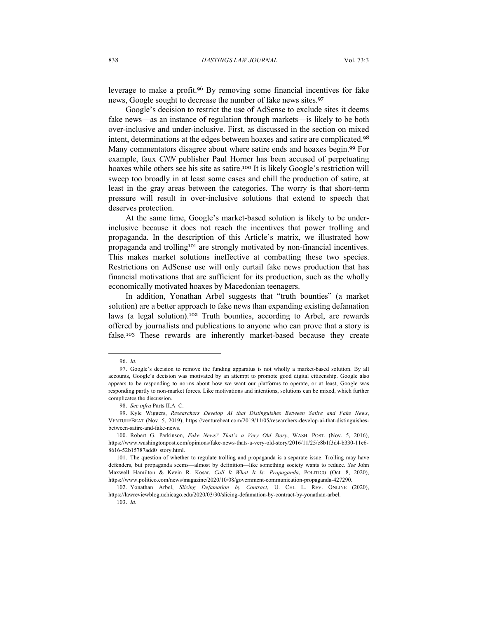leverage to make a profit.<sup>96</sup> By removing some financial incentives for fake news, Google sought to decrease the number of fake news sites.<sup>97</sup>

Google's decision to restrict the use of AdSense to exclude sites it deems fake news—as an instance of regulation through markets—is likely to be both over-inclusive and under-inclusive. First, as discussed in the section on mixed intent, determinations at the edges between hoaxes and satire are complicated.<sup>98</sup> Many commentators disagree about where satire ends and hoaxes begin.<sup>99</sup> For example, faux *CNN* publisher Paul Horner has been accused of perpetuating hoaxes while others see his site as satire.<sup>100</sup> It is likely Google's restriction will sweep too broadly in at least some cases and chill the production of satire, at least in the gray areas between the categories. The worry is that short-term pressure will result in over-inclusive solutions that extend to speech that deserves protection.

At the same time, Google's market-based solution is likely to be underinclusive because it does not reach the incentives that power trolling and propaganda. In the description of this Article's matrix, we illustrated how propaganda and trolling<sup>101</sup> are strongly motivated by non-financial incentives. This makes market solutions ineffective at combatting these two species. Restrictions on AdSense use will only curtail fake news production that has financial motivations that are sufficient for its production, such as the wholly economically motivated hoaxes by Macedonian teenagers.

In addition, Yonathan Arbel suggests that "truth bounties" (a market solution) are a better approach to fake news than expanding existing defamation laws (a legal solution).<sup>102</sup> Truth bounties, according to Arbel, are rewards offered by journalists and publications to anyone who can prove that a story is false.<sup>103</sup> These rewards are inherently market-based because they create

<sup>96.</sup> *Id.*

<sup>97.</sup> Google's decision to remove the funding apparatus is not wholly a market-based solution. By all accounts, Google's decision was motivated by an attempt to promote good digital citizenship. Google also appears to be responding to norms about how we want our platforms to operate, or at least, Google was responding partly to non-market forces. Like motivations and intentions, solutions can be mixed, which further complicates the discussion.

<sup>98.</sup> *See infra* Parts II.A–C.

<sup>99.</sup> Kyle Wiggers, *Researchers Develop AI that Distinguishes Between Satire and Fake News*, VENTUREBEAT (Nov. 5, 2019), https://venturebeat.com/2019/11/05/researchers-develop-ai-that-distinguishesbetween-satire-and-fake-news.

<sup>100.</sup> Robert G. Parkinson, *Fake News? That's a Very Old Story*, WASH. POST. (Nov. 5, 2016), https://www.washingtonpost.com/opinions/fake-news-thats-a-very-old-story/2016/11/25/c8b1f3d4-b330-11e6- 8616-52b15787add0\_story.html.

<sup>101.</sup> The question of whether to regulate trolling and propaganda is a separate issue. Trolling may have defenders, but propaganda seems—almost by definition—like something society wants to reduce. *See* John Maxwell Hamilton & Kevin R. Kosar, *Call It What It Is: Propaganda*, POLITICO (Oct. 8, 2020), https://www.politico.com/news/magazine/2020/10/08/government-communication-propaganda-427290.

<sup>102.</sup> Yonathan Arbel, *Slicing Defamation by Contract*, U. CHI. L. REV. ONLINE (2020), https://lawreviewblog.uchicago.edu/2020/03/30/slicing-defamation-by-contract-by-yonathan-arbel.

<sup>103.</sup> *Id.*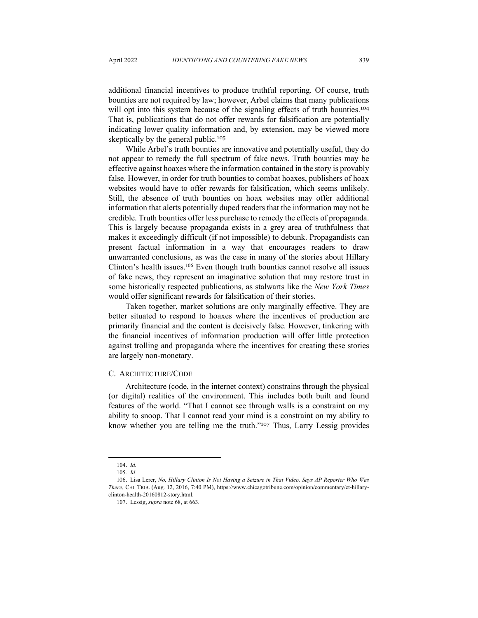additional financial incentives to produce truthful reporting. Of course, truth bounties are not required by law; however, Arbel claims that many publications will opt into this system because of the signaling effects of truth bounties.<sup>104</sup> That is, publications that do not offer rewards for falsification are potentially indicating lower quality information and, by extension, may be viewed more skeptically by the general public.<sup>105</sup>

While Arbel's truth bounties are innovative and potentially useful, they do not appear to remedy the full spectrum of fake news. Truth bounties may be effective against hoaxes where the information contained in the story is provably false. However, in order for truth bounties to combat hoaxes, publishers of hoax websites would have to offer rewards for falsification, which seems unlikely. Still, the absence of truth bounties on hoax websites may offer additional information that alerts potentially duped readers that the information may not be credible. Truth bounties offer less purchase to remedy the effects of propaganda. This is largely because propaganda exists in a grey area of truthfulness that makes it exceedingly difficult (if not impossible) to debunk. Propagandists can present factual information in a way that encourages readers to draw unwarranted conclusions, as was the case in many of the stories about Hillary Clinton's health issues.<sup>106</sup> Even though truth bounties cannot resolve all issues of fake news, they represent an imaginative solution that may restore trust in some historically respected publications, as stalwarts like the *New York Times* would offer significant rewards for falsification of their stories.

Taken together, market solutions are only marginally effective. They are better situated to respond to hoaxes where the incentives of production are primarily financial and the content is decisively false. However, tinkering with the financial incentives of information production will offer little protection against trolling and propaganda where the incentives for creating these stories are largely non-monetary.

#### C. ARCHITECTURE/CODE

Architecture (code, in the internet context) constrains through the physical (or digital) realities of the environment. This includes both built and found features of the world. "That I cannot see through walls is a constraint on my ability to snoop. That I cannot read your mind is a constraint on my ability to know whether you are telling me the truth."<sup>107</sup> Thus, Larry Lessig provides

<sup>104.</sup> *Id.*

<sup>105.</sup> *Id.*

<sup>106</sup>. Lisa Lerer, *No, Hillary Clinton Is Not Having a Seizure in That Video, Says AP Reporter Who Was There*, CHI. TRIB. (Aug. 12, 2016, 7:40 PM), https://www.chicagotribune.com/opinion/commentary/ct-hillaryclinton-health-20160812-story.html.

<sup>107.</sup> Lessig, *supra* note 68, at 663.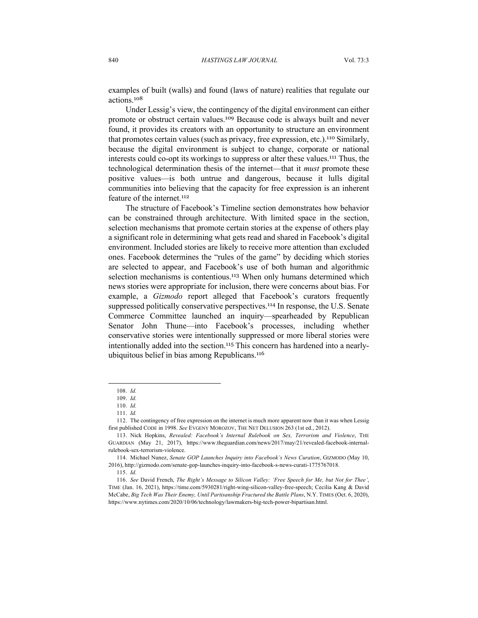examples of built (walls) and found (laws of nature) realities that regulate our actions.<sup>108</sup>

Under Lessig's view, the contingency of the digital environment can either promote or obstruct certain values.<sup>109</sup> Because code is always built and never found, it provides its creators with an opportunity to structure an environment that promotes certain values (such as privacy, free expression, etc.).<sup>110</sup> Similarly, because the digital environment is subject to change, corporate or national interests could co-opt its workings to suppress or alter these values.<sup>111</sup> Thus, the technological determination thesis of the internet—that it *must* promote these positive values—is both untrue and dangerous, because it lulls digital communities into believing that the capacity for free expression is an inherent feature of the internet.<sup>112</sup>

The structure of Facebook's Timeline section demonstrates how behavior can be constrained through architecture. With limited space in the section, selection mechanisms that promote certain stories at the expense of others play a significant role in determining what gets read and shared in Facebook's digital environment. Included stories are likely to receive more attention than excluded ones. Facebook determines the "rules of the game" by deciding which stories are selected to appear, and Facebook's use of both human and algorithmic selection mechanisms is contentious.<sup>113</sup> When only humans determined which news stories were appropriate for inclusion, there were concerns about bias. For example, a *Gizmodo* report alleged that Facebook's curators frequently suppressed politically conservative perspectives.<sup>114</sup> In response, the U.S. Senate Commerce Committee launched an inquiry—spearheaded by Republican Senator John Thune—into Facebook's processes, including whether conservative stories were intentionally suppressed or more liberal stories were intentionally added into the section.<sup>115</sup> This concern has hardened into a nearlyubiquitous belief in bias among Republicans.<sup>116</sup>

<sup>108.</sup> *Id.*

<sup>109.</sup> *Id.*

<sup>110.</sup> *Id.*

<sup>111.</sup> *Id.*

<sup>112.</sup> The contingency of free expression on the internet is much more apparent now than it was when Lessig first published CODE in 1998. *See* EVGENY MOROZOV, THE NET DELUSION 263 (1st ed., 2012).

<sup>113.</sup> Nick Hopkins, *Revealed: Facebook's Internal Rulebook on Sex, Terrorism and Violence*, THE GUARDIAN (May 21, 2017), https://www.theguardian.com/news/2017/may/21/revealed-facebook-internalrulebook-sex-terrorism-violence.

<sup>114.</sup> Michael Nunez, *Senate GOP Launches Inquiry into Facebook's News Curation*, GIZMODO (May 10, 2016), http://gizmodo.com/senate-gop-launches-inquiry-into-facebook-s-news-curati-1775767018.

<sup>115.</sup> *Id.*

<sup>116.</sup> *See* David French, *The Right's Message to Silicon Valley: 'Free Speech for Me, but Not for Thee'*, TIME (Jan. 16, 2021), https://time.com/5930281/right-wing-silicon-valley-free-speech; Cecilia Kang & David McCabe, *Big Tech Was Their Enemy, Until Partisanship Fractured the Battle Plans*, N.Y. TIMES (Oct. 6, 2020), https://www.nytimes.com/2020/10/06/technology/lawmakers-big-tech-power-bipartisan.html.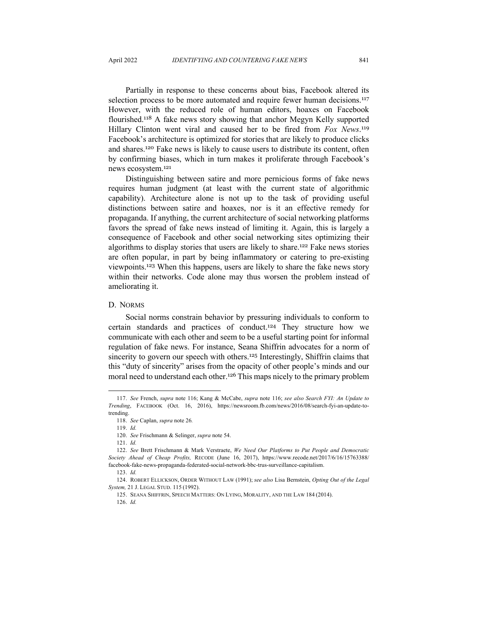Partially in response to these concerns about bias, Facebook altered its selection process to be more automated and require fewer human decisions.<sup>117</sup> However, with the reduced role of human editors, hoaxes on Facebook flourished.<sup>118</sup> A fake news story showing that anchor Megyn Kelly supported Hillary Clinton went viral and caused her to be fired from *Fox News*.<sup>119</sup> Facebook's architecture is optimized for stories that are likely to produce clicks and shares.<sup>120</sup> Fake news is likely to cause users to distribute its content, often by confirming biases, which in turn makes it proliferate through Facebook's news ecosystem.<sup>121</sup>

Distinguishing between satire and more pernicious forms of fake news requires human judgment (at least with the current state of algorithmic capability). Architecture alone is not up to the task of providing useful distinctions between satire and hoaxes, nor is it an effective remedy for propaganda. If anything, the current architecture of social networking platforms favors the spread of fake news instead of limiting it. Again, this is largely a consequence of Facebook and other social networking sites optimizing their algorithms to display stories that users are likely to share.<sup>122</sup> Fake news stories are often popular, in part by being inflammatory or catering to pre-existing viewpoints.<sup>123</sup> When this happens, users are likely to share the fake news story within their networks. Code alone may thus worsen the problem instead of ameliorating it.

## D. NORMS

Social norms constrain behavior by pressuring individuals to conform to certain standards and practices of conduct.<sup>124</sup> They structure how we communicate with each other and seem to be a useful starting point for informal regulation of fake news. For instance, Seana Shiffrin advocates for a norm of sincerity to govern our speech with others.<sup>125</sup> Interestingly, Shiffrin claims that this "duty of sincerity" arises from the opacity of other people's minds and our moral need to understand each other.<sup>126</sup> This maps nicely to the primary problem

<sup>117.</sup> *See* French, *supra* note 116; Kang & McCabe, *supra* note 116; *see also Search FYI: An Update to Trending*, FACEBOOK (Oct. 16, 2016), https://newsroom.fb.com/news/2016/08/search-fyi-an-update-totrending.

<sup>118.</sup> *See* Caplan, *supra* note 26*.*

<sup>119.</sup> *Id.*

<sup>120.</sup> *See* Frischmann & Selinger, *supra* note 54.

<sup>121.</sup> *Id.*

<sup>122.</sup> *See* Brett Frischmann & Mark Verstraete, *We Need Our Platforms to Put People and Democratic Society Ahead of Cheap Profits,* RECODE (June 16, 2017), https://www.recode.net/2017/6/16/15763388/ facebook-fake-news-propaganda-federated-social-network-bbc-trus-surveillance-capitalism.

<sup>123.</sup> *Id.*

<sup>124.</sup> ROBERT ELLICKSON, ORDER WITHOUT LAW (1991); *see also* Lisa Bernstein, *Opting Out of the Legal System,* 21 J. LEGAL STUD. 115 (1992).

<sup>125.</sup> SEANA SHIFFRIN, SPEECH MATTERS: ON LYING, MORALITY, AND THE LAW 184 (2014).

<sup>126.</sup> *Id.*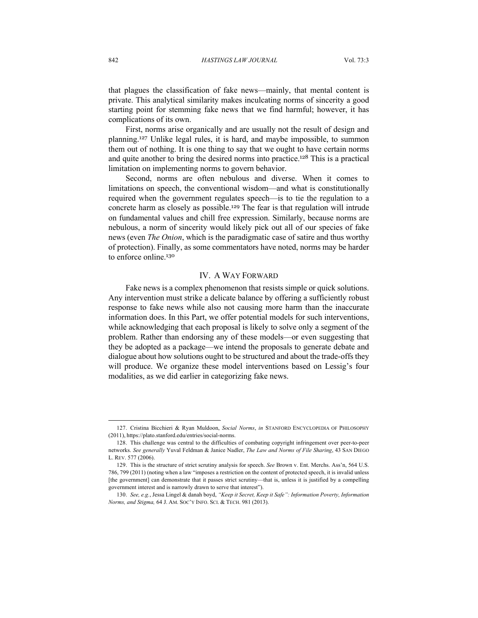that plagues the classification of fake news—mainly, that mental content is private. This analytical similarity makes inculcating norms of sincerity a good starting point for stemming fake news that we find harmful; however, it has complications of its own.

First, norms arise organically and are usually not the result of design and planning.<sup>127</sup> Unlike legal rules, it is hard, and maybe impossible, to summon them out of nothing. It is one thing to say that we ought to have certain norms and quite another to bring the desired norms into practice.<sup>128</sup> This is a practical limitation on implementing norms to govern behavior.

Second, norms are often nebulous and diverse. When it comes to limitations on speech, the conventional wisdom—and what is constitutionally required when the government regulates speech—is to tie the regulation to a concrete harm as closely as possible.<sup>129</sup> The fear is that regulation will intrude on fundamental values and chill free expression. Similarly, because norms are nebulous, a norm of sincerity would likely pick out all of our species of fake news (even *The Onion*, which is the paradigmatic case of satire and thus worthy of protection). Finally, as some commentators have noted, norms may be harder to enforce online.<sup>130</sup>

#### IV. A WAY FORWARD

Fake news is a complex phenomenon that resists simple or quick solutions. Any intervention must strike a delicate balance by offering a sufficiently robust response to fake news while also not causing more harm than the inaccurate information does. In this Part, we offer potential models for such interventions, while acknowledging that each proposal is likely to solve only a segment of the problem. Rather than endorsing any of these models—or even suggesting that they be adopted as a package—we intend the proposals to generate debate and dialogue about how solutions ought to be structured and about the trade-offs they will produce. We organize these model interventions based on Lessig's four modalities, as we did earlier in categorizing fake news.

<sup>127.</sup> Cristina Bicchieri & Ryan Muldoon, *Social Norms*, *in* STANFORD ENCYCLOPEDIA OF PHILOSOPHY (2011), https://plato.stanford.edu/entries/social-norms.

<sup>128.</sup> This challenge was central to the difficulties of combating copyright infringement over peer-to-peer networks. *See generally* Yuval Feldman & Janice Nadler, *The Law and Norms of File Sharing*, 43 SAN DIEGO L. REV. 577 (2006).

<sup>129.</sup> This is the structure of strict scrutiny analysis for speech. *See* Brown v. Ent. Merchs. Ass'n, 564 U.S. 786, 799 (2011) (noting when a law "imposes a restriction on the content of protected speech, it is invalid unless [the government] can demonstrate that it passes strict scrutiny—that is, unless it is justified by a compelling government interest and is narrowly drawn to serve that interest").

<sup>130.</sup> *See, e.g.*, Jessa Lingel & danah boyd, *"Keep it Secret, Keep it Safe": Information Poverty, Information Norms, and Stigma,* 64 J. AM. SOC'Y INFO. SCI. & TECH. 981 (2013).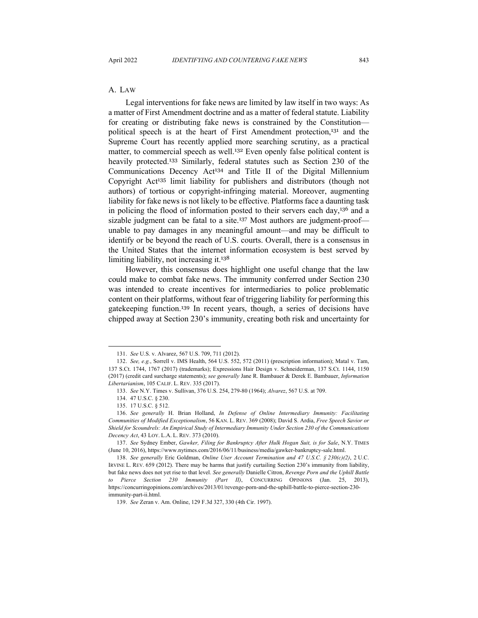## A. LAW

Legal interventions for fake news are limited by law itself in two ways: As a matter of First Amendment doctrine and as a matter of federal statute. Liability for creating or distributing fake news is constrained by the Constitution political speech is at the heart of First Amendment protection,<sup>131</sup> and the Supreme Court has recently applied more searching scrutiny, as a practical matter, to commercial speech as well.<sup>132</sup> Even openly false political content is heavily protected.<sup>133</sup> Similarly, federal statutes such as Section 230 of the Communications Decency Act<sup>134</sup> and Title II of the Digital Millennium Copyright Act<sup>135</sup> limit liability for publishers and distributors (though not authors) of tortious or copyright-infringing material. Moreover, augmenting liability for fake news is not likely to be effective. Platforms face a daunting task in policing the flood of information posted to their servers each day,<sup>136</sup> and a sizable judgment can be fatal to a site.<sup>137</sup> Most authors are judgment-proof unable to pay damages in any meaningful amount—and may be difficult to identify or be beyond the reach of U.S. courts. Overall, there is a consensus in the United States that the internet information ecosystem is best served by limiting liability, not increasing it.<sup>138</sup>

However, this consensus does highlight one useful change that the law could make to combat fake news. The immunity conferred under Section 230 was intended to create incentives for intermediaries to police problematic content on their platforms, without fear of triggering liability for performing this gatekeeping function.<sup>139</sup> In recent years, though, a series of decisions have chipped away at Section 230's immunity, creating both risk and uncertainty for

<sup>131.</sup> *See* U.S. v. Alvarez, 567 U.S. 709, 711 (2012).

<sup>132.</sup> *See, e.g.*, Sorrell v. IMS Health, 564 U.S. 552, 572 (2011) (prescription information); Matal v. Tam, 137 S.Ct. 1744, 1767 (2017) (trademarks); Expressions Hair Design v. Schneiderman, 137 S.Ct. 1144, 1150 (2017) (credit card surcharge statements); *see generally* Jane R. Bambauer & Derek E. Bambauer, *Information Libertarianism*, 105 CALIF. L. REV. 335 (2017).

<sup>133.</sup> *See* N.Y. Times v. Sullivan, 376 U.S. 254, 279-80 (1964); *Alvarez*, 567 U.S. at 709.

<sup>134.</sup> 47 U.S.C. § 230.

<sup>135.</sup> 17 U.S.C. § 512.

<sup>136.</sup> *See generally* H. Brian Holland, *In Defense of Online Intermediary Immunity: Facilitating Communities of Modified Exceptionalism*, 56 KAN. L. REV. 369 (2008); David S. Ardia, *Free Speech Savior or Shield for Scoundrels: An Empirical Study of Intermediary Immunity Under Section 230 of the Communications Decency Act*, 43 LOY. L.A. L. REV. 373 (2010).

<sup>137.</sup> *See* Sydney Ember, *Gawker, Filing for Bankruptcy After Hulk Hogan Suit, is for Sale*, N.Y. TIMES (June 10, 2016), https://www.nytimes.com/2016/06/11/business/media/gawker-bankruptcy-sale.html.

<sup>138.</sup> *See generally* Eric Goldman, *Online User Account Termination and 47 U.S.C. § 230(c)(2)*, 2 U.C. IRVINE L. REV. 659 (2012). There may be harms that justify curtailing Section 230's immunity from liability, but fake news does not yet rise to that level. *See generally* Danielle Citron, *Revenge Porn and the Uphill Battle to Pierce Section 230 Immunity (Part II)*, CONCURRING OPINIONS (Jan. 25, 2013), https://concurringopinions.com/archives/2013/01/revenge-porn-and-the-uphill-battle-to-pierce-section-230 immunity-part-ii.html.

<sup>139.</sup> *See* Zeran v. Am. Online, 129 F.3d 327, 330 (4th Cir. 1997).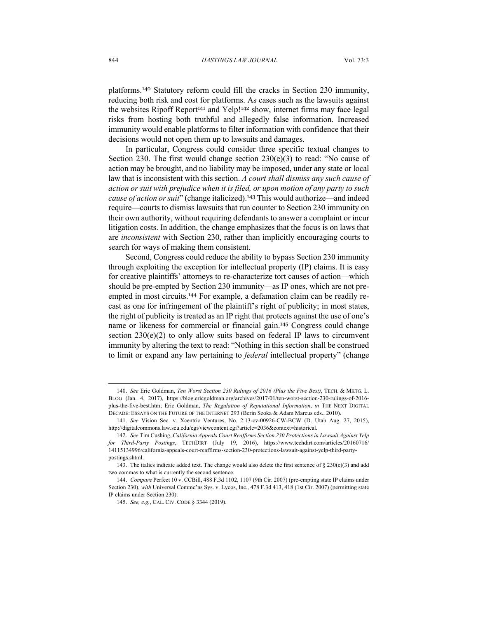platforms.<sup>140</sup> Statutory reform could fill the cracks in Section 230 immunity, reducing both risk and cost for platforms. As cases such as the lawsuits against the websites Ripoff Report<sup>141</sup> and Yelp!<sup>142</sup> show, internet firms may face legal risks from hosting both truthful and allegedly false information. Increased immunity would enable platforms to filter information with confidence that their decisions would not open them up to lawsuits and damages.

In particular, Congress could consider three specific textual changes to Section 230. The first would change section  $230(e)(3)$  to read: "No cause of action may be brought, and no liability may be imposed, under any state or local law that is inconsistent with this section. *A court shall dismiss any such cause of action or suit with prejudice when it is filed, or upon motion of any party to such cause of action or suit*" (change italicized).<sup>143</sup> This would authorize—and indeed require—courts to dismiss lawsuits that run counter to Section 230 immunity on their own authority, without requiring defendants to answer a complaint or incur litigation costs. In addition, the change emphasizes that the focus is on laws that are *inconsistent* with Section 230, rather than implicitly encouraging courts to search for ways of making them consistent.

Second, Congress could reduce the ability to bypass Section 230 immunity through exploiting the exception for intellectual property (IP) claims. It is easy for creative plaintiffs' attorneys to re-characterize tort causes of action—which should be pre-empted by Section 230 immunity—as IP ones, which are not preempted in most circuits.<sup>144</sup> For example, a defamation claim can be readily recast as one for infringement of the plaintiff's right of publicity; in most states, the right of publicity is treated as an IP right that protects against the use of one's name or likeness for commercial or financial gain.<sup>145</sup> Congress could change section  $230(e)(2)$  to only allow suits based on federal IP laws to circumvent immunity by altering the text to read: "Nothing in this section shall be construed to limit or expand any law pertaining to *federal* intellectual property" (change

<sup>140.</sup> *See* Eric Goldman, *Ten Worst Section 230 Rulings of 2016 (Plus the Five Best)*, TECH. & MKTG. L. BLOG (Jan. 4, 2017), https://blog.ericgoldman.org/archives/2017/01/ten-worst-section-230-rulings-of-2016 plus-the-five-best.htm; Eric Goldman, *The Regulation of Reputational Information*, *in* THE NEXT DIGITAL DECADE: ESSAYS ON THE FUTURE OF THE INTERNET 293 (Berin Szoka & Adam Marcus eds., 2010).

<sup>141.</sup> *See* Vision Sec. v. Xcentric Ventures, No. 2:13-cv-00926-CW-BCW (D. Utah Aug. 27, 2015), http://digitalcommons.law.scu.edu/cgi/viewcontent.cgi?article=2036&context=historical.

<sup>142.</sup> *See* Tim Cushing, *California Appeals Court Reaffirms Section 230 Protections in Lawsuit Against Yelp for Third-Party Postings*, TECHDIRT (July 19, 2016), https://www.techdirt.com/articles/20160716/ 14115134996/california-appeals-court-reaffirms-section-230-protections-lawsuit-against-yelp-third-partypostings.shtml.

<sup>143.</sup> The italics indicate added text. The change would also delete the first sentence of  $\S 230(e)(3)$  and add two commas to what is currently the second sentence.

<sup>144.</sup> *Compare* Perfect 10 v. CCBill, 488 F.3d 1102, 1107 (9th Cir. 2007) (pre-empting state IP claims under Section 230), with Universal Commc'ns Sys. v. Lycos, Inc., 478 F.3d 413, 418 (1st Cir. 2007) (permitting state IP claims under Section 230).

<sup>145.</sup> *See, e.g.*, CAL. CIV. CODE § 3344 (2019).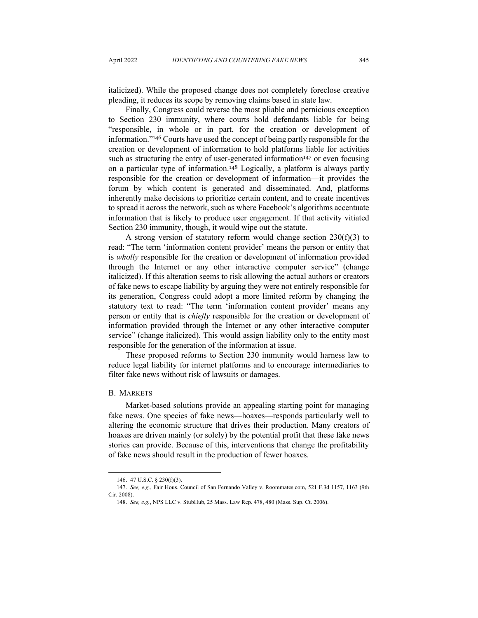italicized). While the proposed change does not completely foreclose creative pleading, it reduces its scope by removing claims based in state law.

Finally, Congress could reverse the most pliable and pernicious exception to Section 230 immunity, where courts hold defendants liable for being "responsible, in whole or in part, for the creation or development of information."<sup>146</sup> Courts have used the concept of being partly responsible for the creation or development of information to hold platforms liable for activities such as structuring the entry of user-generated information<sup>147</sup> or even focusing on a particular type of information.<sup>148</sup> Logically, a platform is always partly responsible for the creation or development of information—it provides the forum by which content is generated and disseminated. And, platforms inherently make decisions to prioritize certain content, and to create incentives to spread it across the network, such as where Facebook's algorithms accentuate information that is likely to produce user engagement. If that activity vitiated Section 230 immunity, though, it would wipe out the statute.

A strong version of statutory reform would change section 230(f)(3) to read: "The term 'information content provider' means the person or entity that is *wholly* responsible for the creation or development of information provided through the Internet or any other interactive computer service" (change italicized). If this alteration seems to risk allowing the actual authors or creators of fake news to escape liability by arguing they were not entirely responsible for its generation, Congress could adopt a more limited reform by changing the statutory text to read: "The term 'information content provider' means any person or entity that is *chiefly* responsible for the creation or development of information provided through the Internet or any other interactive computer service" (change italicized). This would assign liability only to the entity most responsible for the generation of the information at issue.

These proposed reforms to Section 230 immunity would harness law to reduce legal liability for internet platforms and to encourage intermediaries to filter fake news without risk of lawsuits or damages.

#### B. MARKETS

Market-based solutions provide an appealing starting point for managing fake news. One species of fake news—hoaxes—responds particularly well to altering the economic structure that drives their production. Many creators of hoaxes are driven mainly (or solely) by the potential profit that these fake news stories can provide. Because of this, interventions that change the profitability of fake news should result in the production of fewer hoaxes.

<sup>146.</sup> 47 U.S.C. § 230(f)(3).

<sup>147.</sup> *See, e.g.*, Fair Hous. Council of San Fernando Valley v. Roommates.com, 521 F.3d 1157, 1163 (9th Cir. 2008).

<sup>148.</sup> *See, e.g.*, NPS LLC v. StubHub, 25 Mass. Law Rep. 478, 480 (Mass. Sup. Ct. 2006).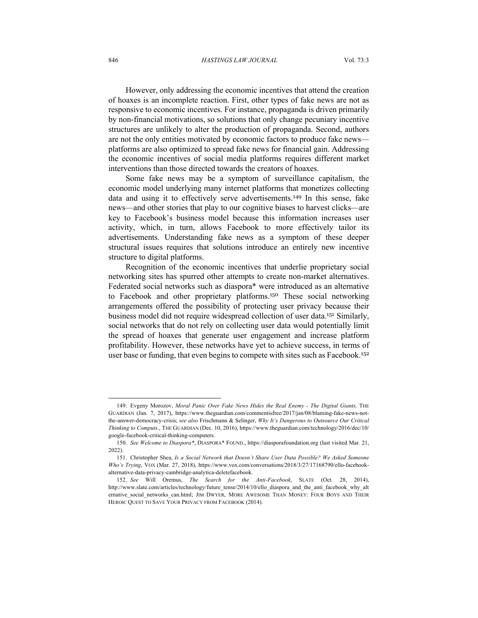#### 846 *HASTINGS LAW JOURNAL* Vol. 73:3

However, only addressing the economic incentives that attend the creation of hoaxes is an incomplete reaction. First, other types of fake news are not as responsive to economic incentives. For instance, propaganda is driven primarily by non-financial motivations, so solutions that only change pecuniary incentive structures are unlikely to alter the production of propaganda. Second, authors are not the only entities motivated by economic factors to produce fake news platforms are also optimized to spread fake news for financial gain. Addressing the economic incentives of social media platforms requires different market interventions than those directed towards the creators of hoaxes.

Some fake news may be a symptom of surveillance capitalism, the economic model underlying many internet platforms that monetizes collecting data and using it to effectively serve advertisements.<sup>149</sup> In this sense, fake news—and other stories that play to our cognitive biases to harvest clicks—are key to Facebook's business model because this information increases user activity, which, in turn, allows Facebook to more effectively tailor its advertisements. Understanding fake news as a symptom of these deeper structural issues requires that solutions introduce an entirely new incentive structure to digital platforms.

Recognition of the economic incentives that underlie proprietary social networking sites has spurred other attempts to create non-market alternatives. Federated social networks such as diaspora\* were introduced as an alternative to Facebook and other proprietary platforms.<sup>150</sup> These social networking arrangements offered the possibility of protecting user privacy because their business model did not require widespread collection of user data.<sup>151</sup> Similarly, social networks that do not rely on collecting user data would potentially limit the spread of hoaxes that generate user engagement and increase platform profitability. However, these networks have yet to achieve success, in terms of user base or funding, that even begins to compete with sites such as Facebook.<sup>152</sup>

<sup>149.</sup> Evgeny Morozov, *Moral Panic Over Fake News Hides the Real Enemy - The Digital Giants,* THE GUARDIAN (Jan. 7, 2017), https://www.theguardian.com/commentisfree/2017/jan/08/blaming-fake-news-notthe-answer-democracy-crisis; *see also* Frischmann & Selinger, *Why It's Dangerous to Outsource Our Critical Thinking to Computs*., THE GUARDIAN (Dec. 10, 2016), https://www.theguardian.com/technology/2016/dec/10/ google-facebook-critical-thinking-computers.

<sup>150</sup>*. See Welcome to Diaspora\**, DIASPORA\* FOUND., https://diasporafoundation.org (last visited Mar. 21, 2022).

<sup>151.</sup> Christopher Shea, *Is a Social Network that Doesn't Share User Data Possible? We Asked Someone Who's Trying*, VOX (Mar. 27, 2018), https://www.vox.com/conversations/2018/3/27/17168790/ello-facebookalternative-data-privacy-cambridge-analytica-deletefacebook.

<sup>152.</sup> *See* Will Oremus, *The Search for the Anti-Facebook*, SLATE (Oct. 28, 2014), http://www.slate.com/articles/technology/future\_tense/2014/10/ello\_diaspora\_and\_the\_anti\_facebook\_why\_alt ernative social networks can.html; JIM DWYER, MORE AWESOME THAN MONEY: FOUR BOYS AND THEIR HEROIC QUEST TO SAVE YOUR PRIVACY FROM FACEBOOK (2014).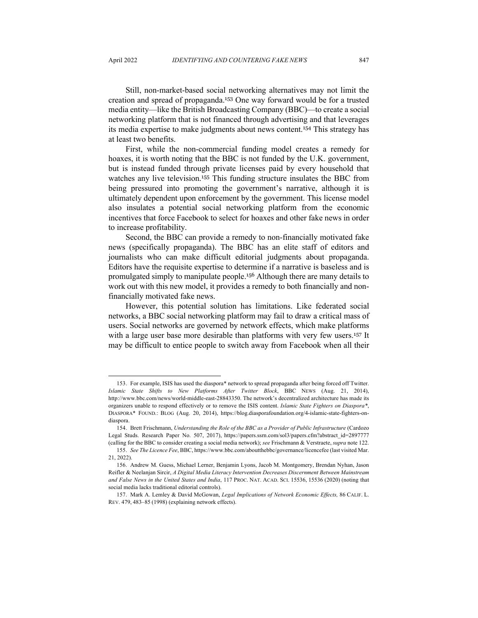Still, non-market-based social networking alternatives may not limit the creation and spread of propaganda.<sup>153</sup> One way forward would be for a trusted media entity—like the British Broadcasting Company (BBC)—to create a social networking platform that is not financed through advertising and that leverages its media expertise to make judgments about news content.<sup>154</sup> This strategy has at least two benefits.

First, while the non-commercial funding model creates a remedy for hoaxes, it is worth noting that the BBC is not funded by the U.K. government, but is instead funded through private licenses paid by every household that watches any live television.<sup>155</sup> This funding structure insulates the BBC from being pressured into promoting the government's narrative, although it is ultimately dependent upon enforcement by the government. This license model also insulates a potential social networking platform from the economic incentives that force Facebook to select for hoaxes and other fake news in order to increase profitability.

Second, the BBC can provide a remedy to non-financially motivated fake news (specifically propaganda). The BBC has an elite staff of editors and journalists who can make difficult editorial judgments about propaganda. Editors have the requisite expertise to determine if a narrative is baseless and is promulgated simply to manipulate people.<sup>156</sup> Although there are many details to work out with this new model, it provides a remedy to both financially and nonfinancially motivated fake news.

However, this potential solution has limitations. Like federated social networks, a BBC social networking platform may fail to draw a critical mass of users. Social networks are governed by network effects, which make platforms with a large user base more desirable than platforms with very few users.<sup>157</sup> It may be difficult to entice people to switch away from Facebook when all their

<sup>153.</sup> For example, ISIS has used the diaspora\* network to spread propaganda after being forced off Twitter. *Islamic State Shifts to New Platforms After Twitter Block*, BBC NEWS (Aug. 21, 2014), http://www.bbc.com/news/world-middle-east-28843350. The network's decentralized architecture has made its organizers unable to respond effectively or to remove the ISIS content. *Islamic State Fighters on Diaspora\**, DIASPORA\* FOUND.: BLOG (Aug. 20, 2014), https://blog.diasporafoundation.org/4-islamic-state-fighters-ondiaspora.

<sup>154.</sup> Brett Frischmann, *Understanding the Role of the BBC as a Provider of Public Infrastructure* (Cardozo Legal Studs. Research Paper No. 507, 2017), https://papers.ssrn.com/sol3/papers.cfm?abstract\_id=2897777 (calling for the BBC to consider creating a social media network); *see* Frischmann & Verstraete, *supra* note 122.

<sup>155.</sup> *See The Licence Fee*, BBC, https://www.bbc.com/aboutthebbc/governance/licencefee (last visited Mar. 21, 2022).

<sup>156.</sup> Andrew M. Guess, Michael Lerner, Benjamin Lyons, Jacob M. Montgomery, Brendan Nyhan, Jason Reifler & Neelanjan Sircir, *A Digital Media Literacy Intervention Decreases Discernment Between Mainstream and False News in the United States and India*, 117 PROC. NAT. ACAD. SCI. 15536, 15536 (2020) (noting that social media lacks traditional editorial controls).

<sup>157.</sup> Mark A. Lemley & David McGowan, *Legal Implications of Network Economic Effects,* 86 CALIF. L. REV. 479, 483–85 (1998) (explaining network effects).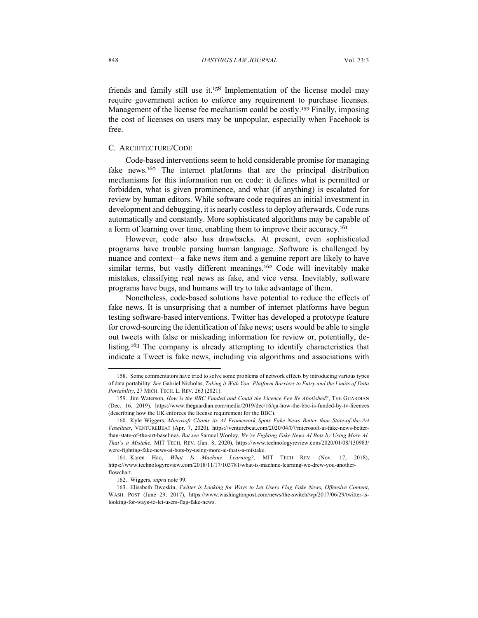friends and family still use it.<sup>158</sup> Implementation of the license model may require government action to enforce any requirement to purchase licenses. Management of the license fee mechanism could be costly.<sup>159</sup> Finally, imposing the cost of licenses on users may be unpopular, especially when Facebook is free.

## C. ARCHITECTURE/CODE

Code-based interventions seem to hold considerable promise for managing fake news.<sup>160</sup> The internet platforms that are the principal distribution mechanisms for this information run on code: it defines what is permitted or forbidden, what is given prominence, and what (if anything) is escalated for review by human editors. While software code requires an initial investment in development and debugging, it is nearly costless to deploy afterwards. Code runs automatically and constantly. More sophisticated algorithms may be capable of a form of learning over time, enabling them to improve their accuracy.<sup>161</sup>

However, code also has drawbacks. At present, even sophisticated programs have trouble parsing human language. Software is challenged by nuance and context—a fake news item and a genuine report are likely to have similar terms, but vastly different meanings.<sup>162</sup> Code will inevitably make mistakes, classifying real news as fake, and vice versa. Inevitably, software programs have bugs, and humans will try to take advantage of them.

Nonetheless, code-based solutions have potential to reduce the effects of fake news. It is unsurprising that a number of internet platforms have begun testing software-based interventions. Twitter has developed a prototype feature for crowd-sourcing the identification of fake news; users would be able to single out tweets with false or misleading information for review or, potentially, delisting.<sup>163</sup> The company is already attempting to identify characteristics that indicate a Tweet is fake news, including via algorithms and associations with

<sup>158.</sup> Some commentators have tried to solve some problems of network effects by introducing various types of data portability. *See* Gabriel Nicholas, *Taking it With You: Platform Barriers to Entry and the Limits of Data Portability*, 27 MICH. TECH. L. REV. 263 (2021).

<sup>159.</sup> Jim Waterson, *How is the BBC Funded and Could the Licence Fee Be Abolished?*, THE GUARDIAN (Dec. 16, 2019), https://www.theguardian.com/media/2019/dec/16/qa-how-the-bbc-is-funded-by-tv-licences (describing how the UK enforces the license requirement for the BBC).

<sup>160.</sup> Kyle Wiggers, *Microsoft Claims its AI Framework Spots Fake News Better than State-of-the-Art Vaselines*, VENTUREBEAT (Apr. 7, 2020), https://venturebeat.com/2020/04/07/microsoft-ai-fake-news-betterthan-state-of-the-art-baselines. *But see* Samuel Wooley, *We're Fighting Fake News AI Bots by Using More AI. That's a Mistake*, MIT TECH. REV. (Jan. 8, 2020), https://www.technologyreview.com/2020/01/08/130983/ were-fighting-fake-news-ai-bots-by-using-more-ai-thats-a-mistake.

<sup>161.</sup> Karen Hao, *What Is Machine Learning?*, MIT TECH REV. (Nov. 17, 2018), https://www.technologyreview.com/2018/11/17/103781/what-is-machine-learning-we-drew-you-anotherflowchart.

<sup>162.</sup> Wiggers, *supra* note 99.

<sup>163.</sup> Elisabeth Dwoskin, *Twitter is Looking for Ways to Let Users Flag Fake News, Offensive Content*, WASH. POST (June 29, 2017), https://www.washingtonpost.com/news/the-switch/wp/2017/06/29/twitter-islooking-for-ways-to-let-users-flag-fake-news.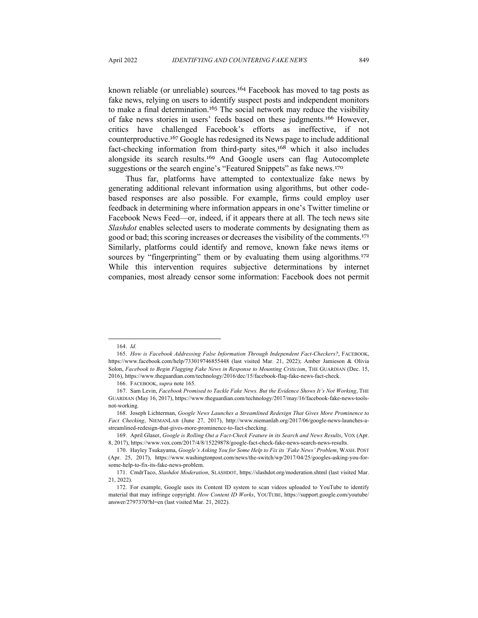known reliable (or unreliable) sources.<sup>164</sup> Facebook has moved to tag posts as fake news, relying on users to identify suspect posts and independent monitors to make a final determination.<sup>165</sup> The social network may reduce the visibility of fake news stories in users' feeds based on these judgments.<sup>166</sup> However, critics have challenged Facebook's efforts as ineffective, if not counterproductive.<sup>167</sup> Google has redesigned its News page to include additional fact-checking information from third-party sites,<sup>168</sup> which it also includes alongside its search results.<sup>169</sup> And Google users can flag Autocomplete suggestions or the search engine's "Featured Snippets" as fake news.<sup>170</sup>

Thus far, platforms have attempted to contextualize fake news by generating additional relevant information using algorithms, but other codebased responses are also possible. For example, firms could employ user feedback in determining where information appears in one's Twitter timeline or Facebook News Feed—or, indeed, if it appears there at all. The tech news site *Slashdot* enables selected users to moderate comments by designating them as good or bad; this scoring increases or decreases the visibility of the comments.<sup>171</sup> Similarly, platforms could identify and remove, known fake news items or sources by "fingerprinting" them or by evaluating them using algorithms.<sup>172</sup> While this intervention requires subjective determinations by internet companies, most already censor some information: Facebook does not permit

<sup>164.</sup> *Id.*

<sup>165.</sup> *How is Facebook Addressing False Information Through Independent Fact-Checkers?*, FACEBOOK, https://www.facebook.com/help/733019746855448 (last visited Mar. 21, 2022); Amber Jamieson & Olivia Solon, *Facebook to Begin Flagging Fake News in Response to Mounting Criticism*, THE GUARDIAN (Dec. 15, 2016), https://www.theguardian.com/technology/2016/dec/15/facebook-flag-fake-news-fact-check.

<sup>166.</sup> FACEBOOK, *supra* note 165.

<sup>167.</sup> Sam Levin, *Facebook Promised to Tackle Fake News. But the Evidence Shows It's Not Working*, THE GUARDIAN (May 16, 2017), https://www.theguardian.com/technology/2017/may/16/facebook-fake-news-toolsnot-working.

<sup>168.</sup> Joseph Lichterman, *Google News Launches a Streamlined Redesign That Gives More Prominence to Fact Checking*, NIEMANLAB (June 27, 2017), http://www.niemanlab.org/2017/06/google-news-launches-astreamlined-redesign-that-gives-more-prominence-to-fact-checking.

<sup>169.</sup> April Glaser, *Google is Rolling Out a Fact-Check Feature in its Search and News Results*, VOX (Apr. 8, 2017), https://www.vox.com/2017/4/8/15229878/google-fact-check-fake-news-search-news-results.

<sup>170.</sup> Hayley Tsukayama, *Google's Asking You for Some Help to Fix its 'Fake News' Problem*, WASH. POST (Apr. 25, 2017), https://www.washingtonpost.com/news/the-switch/wp/2017/04/25/googles-asking-you-forsome-help-to-fix-its-fake-news-problem.

<sup>171.</sup> CmdrTaco, *Slashdot Moderation*, SLASHDOT, https://slashdot.org/moderation.shtml (last visited Mar. 21, 2022).

<sup>172.</sup> For example, Google uses its Content ID system to scan videos uploaded to YouTube to identify material that may infringe copyright. *How Content ID Works*, YOUTUBE, https://support.google.com/youtube/ answer/2797370?hl=en (last visited Mar. 21, 2022).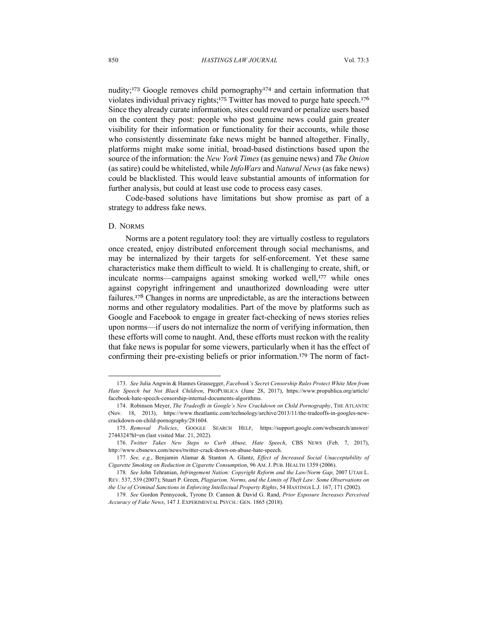nudity;<sup>173</sup> Google removes child pornography<sup>174</sup> and certain information that violates individual privacy rights;<sup>175</sup> Twitter has moved to purge hate speech.<sup>176</sup> Since they already curate information, sites could reward or penalize users based on the content they post: people who post genuine news could gain greater visibility for their information or functionality for their accounts, while those who consistently disseminate fake news might be banned altogether. Finally, platforms might make some initial, broad-based distinctions based upon the source of the information: the *New York Times* (as genuine news) and *The Onion* (as satire) could be whitelisted, while *InfoWars* and *Natural News* (as fake news) could be blacklisted. This would leave substantial amounts of information for further analysis, but could at least use code to process easy cases.

Code-based solutions have limitations but show promise as part of a strategy to address fake news.

#### D. NORMS

Norms are a potent regulatory tool: they are virtually costless to regulators once created, enjoy distributed enforcement through social mechanisms, and may be internalized by their targets for self-enforcement. Yet these same characteristics make them difficult to wield. It is challenging to create, shift, or inculcate norms—campaigns against smoking worked well,<sup>177</sup> while ones against copyright infringement and unauthorized downloading were utter failures.<sup>178</sup> Changes in norms are unpredictable, as are the interactions between norms and other regulatory modalities. Part of the move by platforms such as Google and Facebook to engage in greater fact-checking of news stories relies upon norms—if users do not internalize the norm of verifying information, then these efforts will come to naught. And, these efforts must reckon with the reality that fake news is popular for some viewers, particularly when it has the effect of confirming their pre-existing beliefs or prior information.<sup>179</sup> The norm of fact-

<sup>173.</sup> *See* Julia Angwin & Hannes Grassegger, *Facebook's Secret Censorship Rules Protect White Men from Hate Speech but Not Black Children*, PROPUBLICA (June 28, 2017), https://www.propublica.org/article/ facebook-hate-speech-censorship-internal-documents-algorithms.

<sup>174.</sup> Robinson Meyer, *The Tradeoffs in Google's New Crackdown on Child Pornography*, THE ATLANTIC (Nov. 18, 2013), https://www.theatlantic.com/technology/archive/2013/11/the-tradeoffs-in-googles-newcrackdown-on-child-pornography/281604.

<sup>175.</sup> *Removal Policies*, GOOGLE SEARCH HELP, https://support.google.com/websearch/answer/ 2744324?hl=en (last visited Mar. 21, 2022).

<sup>176.</sup> *Twitter Takes New Steps to Curb Abuse, Hate Speech*, CBS NEWS (Feb. 7, 2017), http://www.cbsnews.com/news/twitter-crack-down-on-abuse-hate-speech.

<sup>177.</sup> *See, e.g.*, Benjamin Alamar & Stanton A. Glantz, *Effect of Increased Social Unacceptability of Cigarette Smoking on Reduction in Cigarette Consumption*, 96 AM. J. PUB. HEALTH 1359 (2006).

<sup>178</sup>*. See* John Tehranian, *Infringement Nation: Copyright Reform and the Law/Norm Gap*, 2007 UTAH L. REV. 537, 539 (2007); Stuart P. Green, *Plagiarism, Norms, and the Limits of Theft Law: Some Observations on the Use of Criminal Sanctions in Enforcing Intellectual Property Rights*, 54 HASTINGS L.J. 167, 171 (2002).

<sup>179</sup>*. See* Gordon Pennycook, Tyrone D. Cannon & David G. Rand, *Prior Exposure Increases Perceived Accuracy of Fake News*, 147 J. EXPERIMENTAL PSYCH.: GEN. 1865 (2018).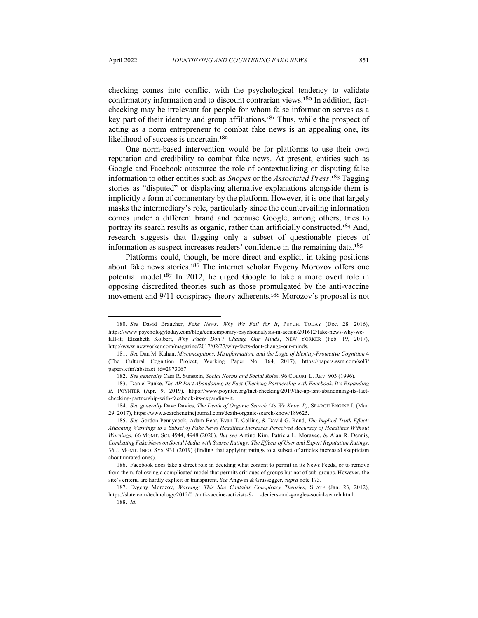checking comes into conflict with the psychological tendency to validate confirmatory information and to discount contrarian views.<sup>180</sup> In addition, factchecking may be irrelevant for people for whom false information serves as a key part of their identity and group affiliations.<sup>181</sup> Thus, while the prospect of acting as a norm entrepreneur to combat fake news is an appealing one, its likelihood of success is uncertain.<sup>182</sup>

One norm-based intervention would be for platforms to use their own reputation and credibility to combat fake news. At present, entities such as Google and Facebook outsource the role of contextualizing or disputing false information to other entities such as *Snopes* or the *Associated Press*. <sup>183</sup> Tagging stories as "disputed" or displaying alternative explanations alongside them is implicitly a form of commentary by the platform. However, it is one that largely masks the intermediary's role, particularly since the countervailing information comes under a different brand and because Google, among others, tries to portray its search results as organic, rather than artificially constructed.<sup>184</sup> And, research suggests that flagging only a subset of questionable pieces of information as suspect increases readers' confidence in the remaining data.<sup>185</sup>

Platforms could, though, be more direct and explicit in taking positions about fake news stories.<sup>186</sup> The internet scholar Evgeny Morozov offers one potential model.<sup>187</sup> In 2012, he urged Google to take a more overt role in opposing discredited theories such as those promulgated by the anti-vaccine movement and 9/11 conspiracy theory adherents.<sup>188</sup> Morozov's proposal is not

<sup>180</sup>*. See* David Braucher, *Fake News: Why We Fall for It*, PSYCH. TODAY (Dec. 28, 2016), https://www.psychologytoday.com/blog/contemporary-psychoanalysis-in-action/201612/fake-news-why-wefall-it; Elizabeth Kolbert, *Why Facts Don't Change Our Minds*, NEW YORKER (Feb. 19, 2017), http://www.newyorker.com/magazine/2017/02/27/why-facts-dont-change-our-minds.

<sup>181</sup>*. See* Dan M. Kahan, *Misconceptions, Misinformation, and the Logic of Identity-Protective Cognition* 4 (The Cultural Cognition Project, Working Paper No. 164, 2017), https://papers.ssrn.com/sol3/ papers.cfm?abstract\_id=2973067.

<sup>182</sup>*. See generally* Cass R. Sunstein, *Social Norms and Social Roles*, 96 COLUM. L. REV. 903 (1996).

<sup>183.</sup> Daniel Funke, *The AP Isn't Abandoning its Fact-Checking Partnership with Facebook. It's Expanding It*, POYNTER (Apr. 9, 2019), https://www.poynter.org/fact-checking/2019/the-ap-isnt-abandoning-its-factchecking-partnership-with-facebook-its-expanding-it.

<sup>184</sup>*. See generally* Dave Davies, *The Death of Organic Search (As We Know It)*, SEARCH ENGINE J. (Mar. 29, 2017), https://www.searchenginejournal.com/death-organic-search-know/189625.

<sup>185</sup>*. See* Gordon Pennycook, Adam Bear, Evan T. Collins, & David G. Rand, *The Implied Truth Effect: Attaching Warnings to a Subset of Fake News Headlines Increases Perceived Accuracy of Headlines Without Warnings*, 66 MGMT. SCI. 4944, 4948 (2020). *But see* Antino Kim, Patricia L. Moravec, & Alan R. Dennis, *Combating Fake News on Social Media with Source Ratings: The Effects of User and Expert Reputation Ratings*, 36 J. MGMT. INFO. SYS. 931 (2019) (finding that applying ratings to a subset of articles increased skepticism about unrated ones).

<sup>186.</sup> Facebook does take a direct role in deciding what content to permit in its News Feeds, or to remove from them, following a complicated model that permits critiques of groups but not of sub-groups. However, the site's criteria are hardly explicit or transparent. *See* Angwin & Grassegger, *supra* note 173.

<sup>187.</sup> Evgeny Morozov, *Warning: This Site Contains Conspiracy Theories*, SLATE (Jan. 23, 2012), https://slate.com/technology/2012/01/anti-vaccine-activists-9-11-deniers-and-googles-social-search.html.

<sup>188.</sup> *Id.*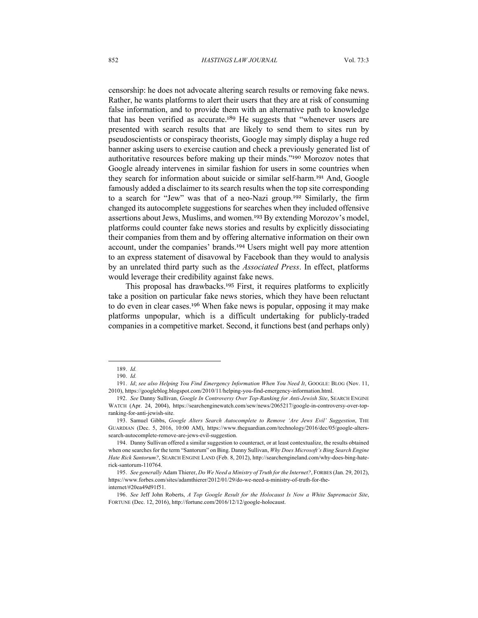censorship: he does not advocate altering search results or removing fake news. Rather, he wants platforms to alert their users that they are at risk of consuming false information, and to provide them with an alternative path to knowledge that has been verified as accurate.<sup>189</sup> He suggests that "whenever users are presented with search results that are likely to send them to sites run by pseudoscientists or conspiracy theorists, Google may simply display a huge red banner asking users to exercise caution and check a previously generated list of authoritative resources before making up their minds."<sup>190</sup> Morozov notes that Google already intervenes in similar fashion for users in some countries when they search for information about suicide or similar self-harm.<sup>191</sup> And, Google famously added a disclaimer to its search results when the top site corresponding to a search for "Jew" was that of a neo-Nazi group.<sup>192</sup> Similarly, the firm changed its autocomplete suggestions for searches when they included offensive assertions about Jews, Muslims, and women.<sup>193</sup> By extending Morozov's model, platforms could counter fake news stories and results by explicitly dissociating their companies from them and by offering alternative information on their own account, under the companies' brands.<sup>194</sup> Users might well pay more attention to an express statement of disavowal by Facebook than they would to analysis by an unrelated third party such as the *Associated Press*. In effect, platforms would leverage their credibility against fake news.

This proposal has drawbacks.<sup>195</sup> First, it requires platforms to explicitly take a position on particular fake news stories, which they have been reluctant to do even in clear cases.<sup>196</sup> When fake news is popular, opposing it may make platforms unpopular, which is a difficult undertaking for publicly-traded companies in a competitive market. Second, it functions best (and perhaps only)

<sup>189.</sup> *Id.*

<sup>190.</sup> *Id.*

<sup>191.</sup> *Id*; *see also Helping You Find Emergency Information When You Need It*, GOOGLE: BLOG (Nov. 11, 2010), https://googleblog.blogspot.com/2010/11/helping-you-find-emergency-information.html.

<sup>192.</sup> *See* Danny Sullivan, *Google In Controversy Over Top-Ranking for Anti-Jewish Site*, SEARCH ENGINE WATCH (Apr. 24, 2004), https://searchenginewatch.com/sew/news/2065217/google-in-controversy-over-topranking-for-anti-jewish-site.

<sup>193.</sup> Samuel Gibbs, *Google Alters Search Autocomplete to Remove 'Are Jews Evil' Suggestion*, THE GUARDIAN (Dec. 5, 2016, 10:00 AM), https://www.theguardian.com/technology/2016/dec/05/google-alterssearch-autocomplete-remove-are-jews-evil-suggestion.

<sup>194.</sup> Danny Sullivan offered a similar suggestion to counteract, or at least contextualize, the results obtained when one searches for the term "Santorum" on Bing. Danny Sullivan, *Why Does Microsoft's Bing Search Engine Hate Rick Santorum?*, SEARCH ENGINE LAND (Feb. 8, 2012), http://searchengineland.com/why-does-bing-haterick-santorum-110764.

<sup>195.</sup> *See generally* Adam Thierer, *Do We Need a Ministry of Truth for the Internet?*, FORBES (Jan. 29, 2012), https://www.forbes.com/sites/adamthierer/2012/01/29/do-we-need-a-ministry-of-truth-for-theinternet/#20ea49d91f51.

<sup>196.</sup> *See* Jeff John Roberts, *A Top Google Result for the Holocaust Is Now a White Supremacist Site*, FORTUNE (Dec. 12, 2016), http://fortune.com/2016/12/12/google-holocaust.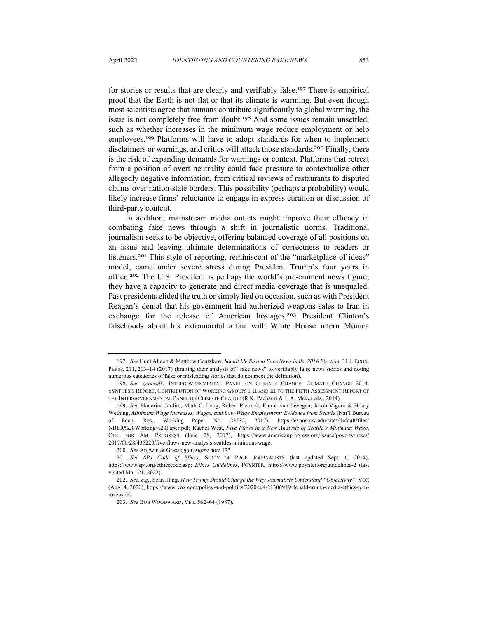for stories or results that are clearly and verifiably false. <sup>197</sup> There is empirical proof that the Earth is not flat or that its climate is warming. But even though most scientists agree that humans contribute significantly to global warming, the issue is not completely free from doubt.<sup>198</sup> And some issues remain unsettled, such as whether increases in the minimum wage reduce employment or help employees.<sup>199</sup> Platforms will have to adopt standards for when to implement disclaimers or warnings, and critics will attack those standards.<sup>200</sup> Finally, there is the risk of expanding demands for warnings or context. Platforms that retreat from a position of overt neutrality could face pressure to contextualize other allegedly negative information, from critical reviews of restaurants to disputed claims over nation-state borders. This possibility (perhaps a probability) would likely increase firms' reluctance to engage in express curation or discussion of third-party content.

In addition, mainstream media outlets might improve their efficacy in combating fake news through a shift in journalistic norms. Traditional journalism seeks to be objective, offering balanced coverage of all positions on an issue and leaving ultimate determinations of correctness to readers or listeners.<sup>201</sup> This style of reporting, reminiscent of the "marketplace of ideas" model, came under severe stress during President Trump's four years in office.<sup>202</sup> The U.S. President is perhaps the world's pre-eminent news figure; they have a capacity to generate and direct media coverage that is unequaled. Past presidents elided the truth or simply lied on occasion, such as with President Reagan's denial that his government had authorized weapons sales to Iran in exchange for the release of American hostages,<sup>203</sup> President Clinton's falsehoods about his extramarital affair with White House intern Monica

200. *See* Angwin & Grassegger, *supra* note 173.

<sup>197.</sup> *See* Hunt Allcott & Matthew Gentzkow, *Social Media and Fake News in the 2016 Election,* 31 J. ECON. PERSP. 211, 213–14 (2017) (limiting their analysis of "fake news" to verifiably false news stories and noting numerous categories of false or misleading stories that do not meet the definition).

<sup>198.</sup> *See generally* INTERGOVERNMENTAL PANEL ON CLIMATE CHANGE, CLIMATE CHANGE 2014: SYNTHESIS REPORT, CONTRIBUTION OF WORKING GROUPS I, II AND III TO THE FIFTH ASSESSMENT REPORT OF THE INTERGOVERNMENTAL PANEL ON CLIMATE CHANGE (R.K. Pachauri & L.A. Meyer eds., 2014).

<sup>199.</sup> *See* Ekaterina Jardim, Mark C. Long, Robert Plotnick, Emma van Inwegen, Jacob Vigdor & Hilary Wething, *Minimum Wage Increases, Wages, and Low-Wage Employment: Evidence from Seattle* (Nat'l Bureau of Econ. Res., Working Paper No. 23532, 2017), https://evans.uw.edu/sites/default/files/ NBER%20Working%20Paper.pdf; Rachel West, *Five Flaws in a New Analysis of Seattle's Minimum Wage*, CTR. FOR AM. PROGRESS (June 28, 2017), https://www.americanprogress.org/issues/poverty/news/ 2017/06/28/435220/five-flaws-new-analysis-seattles-minimum-wage.

<sup>201.</sup> *See SPJ Code of Ethics*, SOC'Y OF PROF. JOURNALISTS (last updated Sept. 6, 2014), https://www.spj.org/ethicscode.asp; *Ethics Guidelines*, POYNTER, https://www.poynter.org/guidelines-2 (last visited Mar. 21, 2022).

<sup>202.</sup> *See, e.g.*, Sean Illing, *How Trump Should Change the Way Journalists Understand "Objectivity"*, VOX (Aug. 4, 2020), https://www.vox.com/policy-and-politics/2020/8/4/21306919/donald-trump-media-ethics-tomrosenstiel.

<sup>203.</sup> *See* BOB WOODWARD, VEIL 562–64 (1987).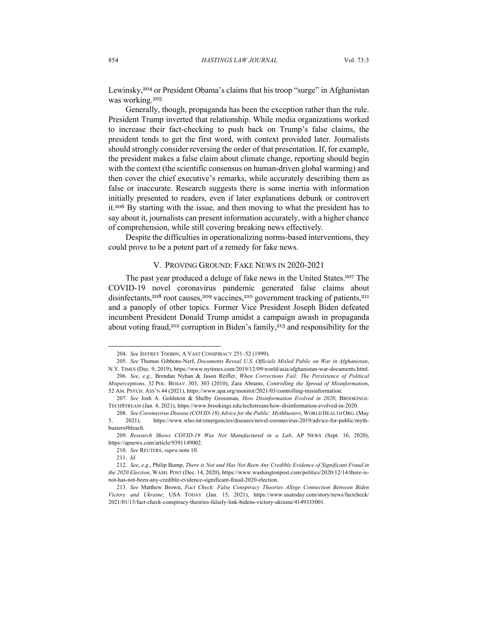Lewinsky,<sup>204</sup> or President Obama's claims that his troop "surge" in Afghanistan was working.<sup>205</sup>

Generally, though, propaganda has been the exception rather than the rule. President Trump inverted that relationship. While media organizations worked to increase their fact-checking to push back on Trump's false claims, the president tends to get the first word, with context provided later. Journalists should strongly consider reversing the order of that presentation. If, for example, the president makes a false claim about climate change, reporting should begin with the context (the scientific consensus on human-driven global warming) and then cover the chief executive's remarks, while accurately describing them as false or inaccurate. Research suggests there is some inertia with information initially presented to readers, even if later explanations debunk or controvert it.<sup>206</sup> By starting with the issue, and then moving to what the president has to say about it, journalists can present information accurately, with a higher chance of comprehension, while still covering breaking news effectively.

Despite the difficulties in operationalizing norms-based interventions, they could prove to be a potent part of a remedy for fake news.

## V. PROVING GROUND: FAKE NEWS IN 2020-2021

The past year produced a deluge of fake news in the United States.<sup>207</sup> The COVID-19 novel coronavirus pandemic generated false claims about disinfectants,<sup>208</sup> root causes,<sup>209</sup> vaccines,<sup>210</sup> government tracking of patients,<sup>211</sup> and a panoply of other topics. Former Vice President Joseph Biden defeated incumbent President Donald Trump amidst a campaign awash in propaganda about voting fraud,<sup>212</sup> corruption in Biden's family,<sup>213</sup> and responsibility for the

<sup>204.</sup> *See* JEFFREY TOOBIN, A VAST CONSPIRACY 251–52 (1999).

<sup>205.</sup> *See* Thomas Gibbons-Nerf, *Documents Reveal U.S. Officials Misled Public on War in Afghanistan*, N.Y. TIMES (Dec. 9, 2019), https://www.nytimes.com/2019/12/09/world/asia/afghanistan-war-documents.html. 206. *See*, *e.g.*, Brendan Nyhan & Jason Reifler, *When Corrections Fail: The Persistence of Political Misperceptions*, 32 POL. BEHAV. 303, 303 (2010); Zara Abrams, *Controlling the Spread of Misinformation*,

<sup>52</sup> AM. PSYCH. ASS'N 44 (2021), https://www.apa.org/monitor/2021/03/controlling-misinformation.

<sup>207.</sup> *See* Josh A. Goldstein & Shelby Grossman, *How Disinformation Evolved in 2020*, BROOKINGS: TECHSTREAM (Jan. 4, 2021), https://www.brookings.edu/techstream/how-disinformation-evolved-in-2020.

<sup>208.</sup> *See Coronavirus Disease (COVID-19) Advice for the Public: Mythbusters*, WORLD HEALTH ORG. (May 5, 2021), https://www.who.int/emergencies/diseases/novel-coronavirus-2019/advice-for-public/mythbusters#bleach.

<sup>209.</sup> *Research Shows COVID-19 Was Not Manufactured in a Lab*, AP NEWS (Sept. 16, 2020), https://apnews.com/article/9391149002.

<sup>210.</sup> *See* REUTERS, *supra* note 10.

<sup>211.</sup> *Id.*

<sup>212.</sup> *See*, *e.g.*, Philip Bump, *There is Not and Has Not Been Any Credible Evidence of Significant Fraud in the 2020 Election*, WASH. POST (Dec. 14, 2020), https://www.washingtonpost.com/politics/2020/12/14/there-isnot-has-not-been-any-credible-evidence-significant-fraud-2020-election.

<sup>213.</sup> *See* Matthew Brown, *Fact Check: False Conspiracy Theories Allege Connection Between Biden Victory and Ukraine*, USA TODAY (Jan. 15, 2021), https://www.usatoday.com/story/news/factcheck/ 2021/01/15/fact-check-conspiracy-theories-falsely-link-bidens-victory-ukraine/4149335001.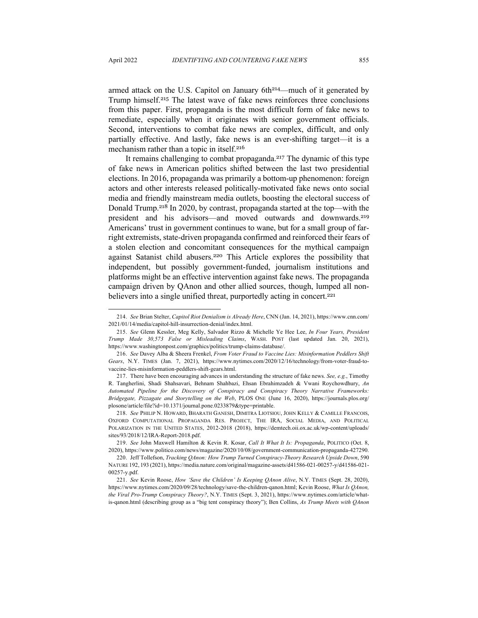armed attack on the U.S. Capitol on January  $6th<sup>214</sup>$ —much of it generated by Trump himself.<sup>215</sup> The latest wave of fake news reinforces three conclusions from this paper. First, propaganda is the most difficult form of fake news to remediate, especially when it originates with senior government officials. Second, interventions to combat fake news are complex, difficult, and only partially effective. And lastly, fake news is an ever-shifting target—it is a mechanism rather than a topic in itself.<sup>216</sup>

It remains challenging to combat propaganda.<sup>217</sup> The dynamic of this type of fake news in American politics shifted between the last two presidential elections. In 2016, propaganda was primarily a bottom-up phenomenon: foreign actors and other interests released politically-motivated fake news onto social media and friendly mainstream media outlets, boosting the electoral success of Donald Trump.<sup>218</sup> In 2020, by contrast, propaganda started at the top—with the president and his advisors—and moved outwards and downwards.<sup>219</sup> Americans' trust in government continues to wane, but for a small group of farright extremists, state-driven propaganda confirmed and reinforced their fears of a stolen election and concomitant consequences for the mythical campaign against Satanist child abusers. <sup>220</sup> This Article explores the possibility that independent, but possibly government-funded, journalism institutions and platforms might be an effective intervention against fake news. The propaganda campaign driven by QAnon and other allied sources, though, lumped all nonbelievers into a single unified threat, purportedly acting in concert.<sup>221</sup>

217. There have been encouraging advances in understanding the structure of fake news. *See, e.g.*, Timothy R. Tangherlini, Shadi Shahsavari, Behnam Shahbazi, Ehsan Ebrahimzadeh & Vwani Roychowdhury, *An Automated Pipeline for the Discovery of Conspiracy and Conspiracy Theory Narrative Frameworks: Bridgegate, Pizzagate and Storytelling on the Web*, PLOS ONE (June 16, 2020), https://journals.plos.org/ plosone/article/file?id=10.1371/journal.pone.0233879&type=printable.

218. *See* PHILIP N. HOWARD, BHARATH GANESH, DIMITRA LIOTSIOU, JOHN KELLY & CAMILLE FRANCOIS, OXFORD COMPUTATIONAL PROPAGANDA RES. PROJECT, THE IRA, SOCIAL MEDIA, AND POLITICAL POLARIZATION IN THE UNITED STATES, 2012-2018 (2018), https://demtech.oii.ox.ac.uk/wp-content/uploads/ sites/93/2018/12/IRA-Report-2018.pdf.

219. *See* John Maxwell Hamilton & Kevin R. Kosar, *Call It What It Is: Propaganda*, POLITICO (Oct. 8, 2020), https://www.politico.com/news/magazine/2020/10/08/government-communication-propaganda-427290.

<sup>214.</sup> *See* Brian Stelter, *Capitol Riot Denialism is Already Here*, CNN (Jan. 14, 2021), https://www.cnn.com/ 2021/01/14/media/capitol-hill-insurrection-denial/index.html.

<sup>215.</sup> *See* Glenn Kessler, Meg Kelly, Salvador Rizzo & Michelle Ye Hee Lee, *In Four Years, President Trump Made 30,573 False or Misleading Claims*, WASH. POST (last updated Jan. 20, 2021), https://www.washingtonpost.com/graphics/politics/trump-claims-database/.

<sup>216.</sup> *See* Davey Alba & Sheera Frenkel, *From Voter Fraud to Vaccine Lies: Misinformation Peddlers Shift Gears*, N.Y. TIMES (Jan. 7, 2021), https://www.nytimes.com/2020/12/16/technology/from-voter-fraud-tovaccine-lies-misinformation-peddlers-shift-gears.html.

<sup>220.</sup> Jeff Tollefson, *Tracking QAnon: How Trump Turned Conspiracy-Theory Research Upside Down*, 590 NATURE 192, 193 (2021), https://media.nature.com/original/magazine-assets/d41586-021-00257-y/d41586-021- 00257-y.pdf.

<sup>221.</sup> *See* Kevin Roose, *How 'Save the Children' Is Keeping QAnon Alive*, N.Y. TIMES (Sept. 28, 2020), https://www.nytimes.com/2020/09/28/technology/save-the-children-qanon.html; Kevin Roose, *What Is QAnon, the Viral Pro-Trump Conspiracy Theory?*, N.Y. TIMES (Sept. 3, 2021), https://www.nytimes.com/article/whatis-qanon.html (describing group as a "big tent conspiracy theory"); Ben Collins, *As Trump Meets with QAnon*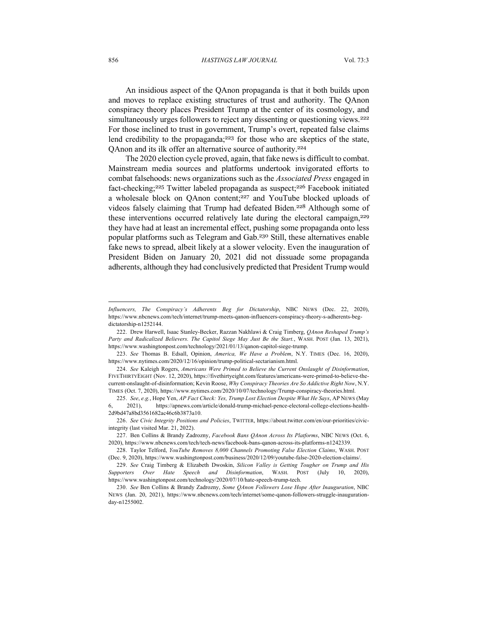#### 856 *HASTINGS LAW JOURNAL* Vol. 73:3

An insidious aspect of the QAnon propaganda is that it both builds upon and moves to replace existing structures of trust and authority. The QAnon conspiracy theory places President Trump at the center of its cosmology, and simultaneously urges followers to reject any dissenting or questioning views.<sup>222</sup> For those inclined to trust in government, Trump's overt, repeated false claims lend credibility to the propaganda;<sup>223</sup> for those who are skeptics of the state, QAnon and its ilk offer an alternative source of authority.<sup>224</sup>

The 2020 election cycle proved, again, that fake news is difficult to combat. Mainstream media sources and platforms undertook invigorated efforts to combat falsehoods: news organizations such as the *Associated Press* engaged in fact-checking;<sup>225</sup> Twitter labeled propaganda as suspect;<sup>226</sup> Facebook initiated a wholesale block on QAnon content;<sup>227</sup> and YouTube blocked uploads of videos falsely claiming that Trump had defeated Biden.<sup>228</sup> Although some of these interventions occurred relatively late during the electoral campaign,<sup>229</sup> they have had at least an incremental effect, pushing some propaganda onto less popular platforms such as Telegram and Gab.<sup>230</sup> Still, these alternatives enable fake news to spread, albeit likely at a slower velocity. Even the inauguration of President Biden on January 20, 2021 did not dissuade some propaganda adherents, although they had conclusively predicted that President Trump would

*Influencers, The Conspiracy's Adherents Beg for Dictatorship*, NBC NEWS (Dec. 22, 2020), https://www.nbcnews.com/tech/internet/trump-meets-qanon-influencers-conspiracy-theory-s-adherents-begdictatorship-n1252144.

<sup>222.</sup> Drew Harwell, Isaac Stanley-Becker, Razzan Nakhlawi & Craig Timberg, *QAnon Reshaped Trump's Party and Radicalized Believers. The Capitol Siege May Just Be the Start.*, WASH. POST (Jan. 13, 2021), https://www.washingtonpost.com/technology/2021/01/13/qanon-capitol-siege-trump.

<sup>223.</sup> *See* Thomas B. Edsall, Opinion, *America, We Have a Problem*, N.Y. TIMES (Dec. 16, 2020), https://www.nytimes.com/2020/12/16/opinion/trump-political-sectarianism.html.

<sup>224.</sup> *See* Kaleigh Rogers, *Americans Were Primed to Believe the Current Onslaught of Disinformation*, FIVETHIRTYEIGHT (Nov. 12, 2020), https://fivethirtyeight.com/features/americans-were-primed-to-believe-thecurrent-onslaught-of-disinformation; Kevin Roose, *Why Conspiracy Theories Are So Addictive Right Now*, N.Y. TIMES (Oct. 7, 2020), https://www.nytimes.com/2020/10/07/technology/Trump-conspiracy-theories.html.

<sup>225.</sup> *See*, *e.g.*, Hope Yen, *AP Fact Check: Yes, Trump Lost Election Despite What He Says*, AP NEWS (May 6, 2021), https://apnews.com/article/donald-trump-michael-pence-electoral-college-elections-health-2d9bd47a8bd3561682ac46c6b3873a10.

<sup>226.</sup> *See Civic Integrity Positions and Policies*, TWITTER, https://about.twitter.com/en/our-priorities/civicintegrity (last visited Mar. 21, 2022).

<sup>227.</sup> Ben Collins & Brandy Zadrozny, *Facebook Bans QAnon Across Its Platforms*, NBC NEWS (Oct. 6, 2020), https://www.nbcnews.com/tech/tech-news/facebook-bans-qanon-across-its-platforms-n1242339.

<sup>228.</sup> Taylor Telford, *YouTube Removes 8,000 Channels Promoting False Election Claims*, WASH. POST (Dec. 9, 2020), https://www.washingtonpost.com/business/2020/12/09/youtube-false-2020-election-claims/.

<sup>229.</sup> *See* Craig Timberg & Elizabeth Dwoskin, *Silicon Valley is Getting Tougher on Trump and His Supporters Over Hate Speech and Disinformation*, WASH. POST (July 10, 2020), https://www.washingtonpost.com/technology/2020/07/10/hate-speech-trump-tech.

<sup>230.</sup> *See* Ben Collins & Brandy Zadrozny, *Some QAnon Followers Lose Hope After Inauguration*, NBC NEWS (Jan. 20, 2021), https://www.nbcnews.com/tech/internet/some-qanon-followers-struggle-inaugurationday-n1255002.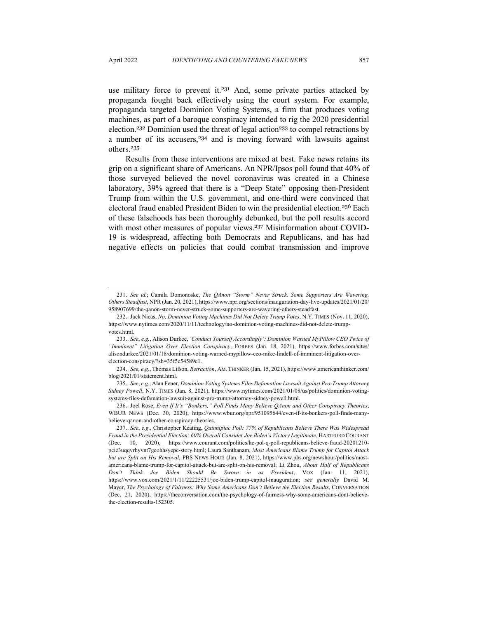use military force to prevent it.<sup>231</sup> And, some private parties attacked by propaganda fought back effectively using the court system. For example, propaganda targeted Dominion Voting Systems, a firm that produces voting machines, as part of a baroque conspiracy intended to rig the 2020 presidential election.<sup>232</sup> Dominion used the threat of legal action<sup>233</sup> to compel retractions by a number of its accusers,<sup>234</sup> and is moving forward with lawsuits against others.<sup>235</sup>

Results from these interventions are mixed at best. Fake news retains its grip on a significant share of Americans. An NPR/Ipsos poll found that 40% of those surveyed believed the novel coronavirus was created in a Chinese laboratory, 39% agreed that there is a "Deep State" opposing then-President Trump from within the U.S. government, and one-third were convinced that electoral fraud enabled President Biden to win the presidential election.<sup>236</sup> Each of these falsehoods has been thoroughly debunked, but the poll results accord with most other measures of popular views.<sup>237</sup> Misinformation about COVID-19 is widespread, affecting both Democrats and Republicans, and has had negative effects on policies that could combat transmission and improve

<sup>231.</sup> *See id.*; Camila Domonoske, *The QAnon "Storm" Never Struck. Some Supporters Are Wavering, Others Steadfast*, NPR (Jan. 20, 2021), https://www.npr.org/sections/inauguration-day-live-updates/2021/01/20/ 958907699/the-qanon-storm-never-struck-some-supporters-are-wavering-others-steadfast.

<sup>232.</sup> Jack Nicas, *No, Dominion Voting Machines Did Not Delete Trump Votes*, N.Y. TIMES (Nov. 11, 2020), https://www.nytimes.com/2020/11/11/technology/no-dominion-voting-machines-did-not-delete-trumpvotes.html.

<sup>233.</sup> *See*, *e.g.*, Alison Durkee, *'Conduct Yourself Accordingly': Dominion Warned MyPillow CEO Twice of "Imminent" Litigation Over Election Conspiracy*, FORBES (Jan. 18, 2021), https://www.forbes.com/sites/ alisondurkee/2021/01/18/dominion-voting-warned-mypillow-ceo-mike-lindell-of-imminent-litigation-overelection-conspiracy/?sh=35f5c54589c1.

<sup>234.</sup> *See, e.g.*, Thomas Lifson, *Retraction*, AM. THINKER (Jan. 15, 2021), https://www.americanthinker.com/ blog/2021/01/statement.html.

<sup>235.</sup> *See*, *e.g.*, Alan Feuer, *Dominion Voting Systems Files Defamation Lawsuit Against Pro-Trump Attorney Sidney Powell*, N.Y. TIMES (Jan. 8, 2021), https://www.nytimes.com/2021/01/08/us/politics/dominion-votingsystems-files-defamation-lawsuit-against-pro-trump-attorney-sidney-powell.html.

<sup>236.</sup> Joel Rose, *Even If It's "Bonkers," Poll Finds Many Believe QAnon and Other Conspiracy Theories*, WBUR NEWS (Dec. 30, 2020), https://www.wbur.org/npr/951095644/even-if-its-bonkers-poll-finds-manybelieve-qanon-and-other-conspiracy-theories.

<sup>237.</sup> *See*, *e.g.*, Christopher Keating, *Quinnipiac Poll: 77% of Republicans Believe There Was Widespread Fraud in the Presidential Election; 60% Overall Consider Joe Biden's Victory Legitimate*, HARTFORD COURANT (Dec. 10, 2020), https://www.courant.com/politics/hc-pol-q-poll-republicans-believe-fraud-20201210 pcie3uqqvrhyvnt7geohhsyepe-story.html; Laura Santhanam, *Most Americans Blame Trump for Capitol Attack but are Split on His Removal*, PBS NEWS HOUR (Jan. 8, 2021), https://www.pbs.org/newshour/politics/mostamericans-blame-trump-for-capitol-attack-but-are-split-on-his-removal; Li Zhou, *About Half of Republicans Don't Think Joe Biden Should Be Sworn in as President*, VOX (Jan. 11, 2021), https://www.vox.com/2021/1/11/22225531/joe-biden-trump-capitol-inauguration; *see generally* David M. Mayer, *The Psychology of Fairness: Why Some Americans Don't Believe the Election Results*, CONVERSATION (Dec. 21, 2020), https://theconversation.com/the-psychology-of-fairness-why-some-americans-dont-believethe-election-results-152305.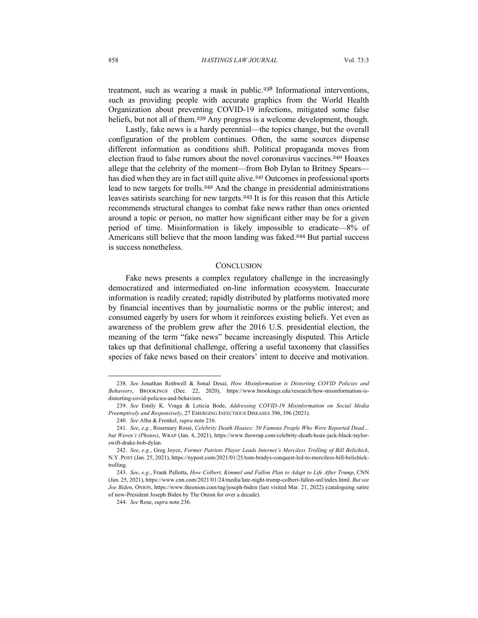treatment, such as wearing a mask in public.<sup>238</sup> Informational interventions, such as providing people with accurate graphics from the World Health Organization about preventing COVID-19 infections, mitigated some false beliefs, but not all of them.<sup>239</sup> Any progress is a welcome development, though.

Lastly, fake news is a hardy perennial—the topics change, but the overall configuration of the problem continues. Often, the same sources dispense different information as conditions shift. Political propaganda moves from election fraud to false rumors about the novel coronavirus vaccines.<sup>240</sup> Hoaxes allege that the celebrity of the moment—from Bob Dylan to Britney Spears has died when they are in fact still quite alive.<sup>241</sup> Outcomes in professional sports lead to new targets for trolls.<sup>242</sup> And the change in presidential administrations leaves satirists searching for new targets.<sup>243</sup> It is for this reason that this Article recommends structural changes to combat fake news rather than ones oriented around a topic or person, no matter how significant either may be for a given period of time. Misinformation is likely impossible to eradicate—8% of Americans still believe that the moon landing was faked.<sup>244</sup> But partial success is success nonetheless.

## **CONCLUSION**

Fake news presents a complex regulatory challenge in the increasingly democratized and intermediated on-line information ecosystem. Inaccurate information is readily created; rapidly distributed by platforms motivated more by financial incentives than by journalistic norms or the public interest; and consumed eagerly by users for whom it reinforces existing beliefs. Yet even as awareness of the problem grew after the 2016 U.S. presidential election, the meaning of the term "fake news" became increasingly disputed. This Article takes up that definitional challenge, offering a useful taxonomy that classifies species of fake news based on their creators' intent to deceive and motivation.

<sup>238.</sup> *See* Jonathan Rothwell & Sonal Desai, *How Misinformation is Distorting COVID Policies and Behaviors*, BROOKINGS (Dec. 22, 2020), https://www.brookings.edu/research/how-misinformation-isdistorting-covid-policies-and-behaviors.

<sup>239.</sup> *See* Emily K. Vraga & Leticia Bode, *Addressing COVID-19 Misinformation on Social Media Preemptively and Responsively*, 27 EMERGING INFECTIOUS DISEASES 396, 396 (2021).

<sup>240.</sup> *See* Alba & Frenkel, *supra* note 216.

<sup>241.</sup> *See*, *e.g.*, Rosemary Rossi, *Celebrity Death Hoaxes: 50 Famous People Who Were Reported Dead… but Weren't (Photos)*, WRAP (Jan. 4, 2021), https://www.thewrap.com/celebrity-death-hoax-jack-black-taylorswift-drake-bob-dylan.

<sup>242.</sup> *See*, *e.g.*, Greg Joyce, *Former Patriots Player Leads Internet's Merciless Trolling of Bill Belichick*, N.Y. POST (Jan. 25, 2021), https://nypost.com/2021/01/25/tom-bradys-conquest-led-to-merciless-bill-belichicktrolling.

<sup>243.</sup> *See*, *e.g.*, Frank Pallotta, *How Colbert, Kimmel and Fallon Plan to Adapt to Life After Trump*, CNN (Jan. 25, 2021), https://www.cnn.com/2021/01/24/media/late-night-trump-colbert-fallon-snl/index.html. *But see Joe Biden*, ONION, https://www.theonion.com/tag/joseph-biden (last visited Mar. 21, 2022) (cataloguing satire of now-President Joseph Biden by The Onion for over a decade).

<sup>244.</sup> *See* Rose, *supra* note 236.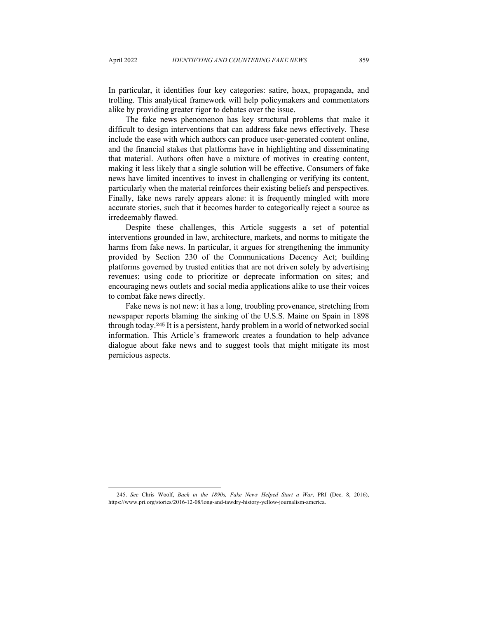In particular, it identifies four key categories: satire, hoax, propaganda, and trolling. This analytical framework will help policymakers and commentators alike by providing greater rigor to debates over the issue.

The fake news phenomenon has key structural problems that make it difficult to design interventions that can address fake news effectively. These include the ease with which authors can produce user-generated content online, and the financial stakes that platforms have in highlighting and disseminating that material. Authors often have a mixture of motives in creating content, making it less likely that a single solution will be effective. Consumers of fake news have limited incentives to invest in challenging or verifying its content, particularly when the material reinforces their existing beliefs and perspectives. Finally, fake news rarely appears alone: it is frequently mingled with more accurate stories, such that it becomes harder to categorically reject a source as irredeemably flawed.

Despite these challenges, this Article suggests a set of potential interventions grounded in law, architecture, markets, and norms to mitigate the harms from fake news. In particular, it argues for strengthening the immunity provided by Section 230 of the Communications Decency Act; building platforms governed by trusted entities that are not driven solely by advertising revenues; using code to prioritize or deprecate information on sites; and encouraging news outlets and social media applications alike to use their voices to combat fake news directly.

Fake news is not new: it has a long, troubling provenance, stretching from newspaper reports blaming the sinking of the U.S.S. Maine on Spain in 1898 through today.<sup>245</sup> It is a persistent, hardy problem in a world of networked social information. This Article's framework creates a foundation to help advance dialogue about fake news and to suggest tools that might mitigate its most pernicious aspects.

<sup>245.</sup> *See* Chris Woolf, *Back in the 1890s, Fake News Helped Start a War*, PRI (Dec. 8, 2016), https://www.pri.org/stories/2016-12-08/long-and-tawdry-history-yellow-journalism-america.